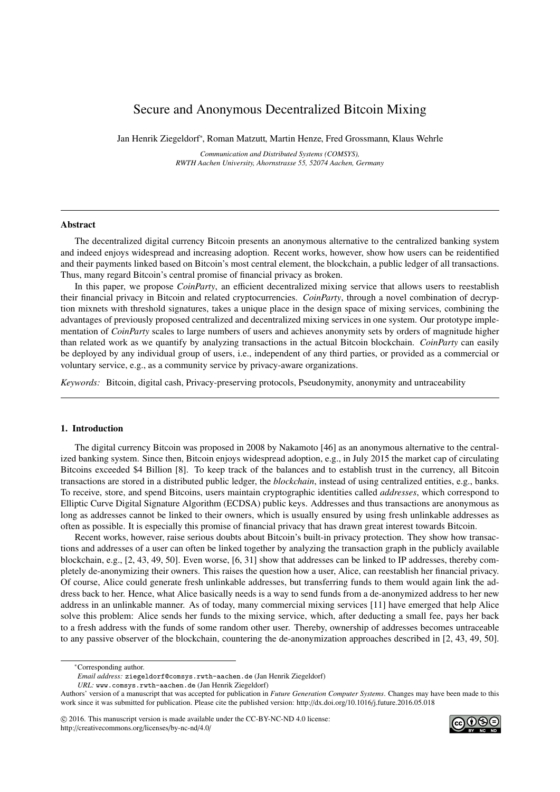# Secure and Anonymous Decentralized Bitcoin Mixing

Jan Henrik Ziegeldorf<sup>∗</sup> , Roman Matzutt, Martin Henze, Fred Grossmann, Klaus Wehrle

*Communication and Distributed Systems (COMSYS), RWTH Aachen University, Ahornstrasse 55, 52074 Aachen, Germany*

# Abstract

The decentralized digital currency Bitcoin presents an anonymous alternative to the centralized banking system and indeed enjoys widespread and increasing adoption. Recent works, however, show how users can be reidentified and their payments linked based on Bitcoin's most central element, the blockchain, a public ledger of all transactions. Thus, many regard Bitcoin's central promise of financial privacy as broken.

In this paper, we propose *CoinParty*, an efficient decentralized mixing service that allows users to reestablish their financial privacy in Bitcoin and related cryptocurrencies. *CoinParty*, through a novel combination of decryption mixnets with threshold signatures, takes a unique place in the design space of mixing services, combining the advantages of previously proposed centralized and decentralized mixing services in one system. Our prototype implementation of *CoinParty* scales to large numbers of users and achieves anonymity sets by orders of magnitude higher than related work as we quantify by analyzing transactions in the actual Bitcoin blockchain. *CoinParty* can easily be deployed by any individual group of users, i.e., independent of any third parties, or provided as a commercial or voluntary service, e.g., as a community service by privacy-aware organizations.

*Keywords:* Bitcoin, digital cash, Privacy-preserving protocols, Pseudonymity, anonymity and untraceability

# 1. Introduction

The digital currency Bitcoin was proposed in 2008 by Nakamoto [46] as an anonymous alternative to the centralized banking system. Since then, Bitcoin enjoys widespread adoption, e.g., in July 2015 the market cap of circulating Bitcoins exceeded \$4 Billion [8]. To keep track of the balances and to establish trust in the currency, all Bitcoin transactions are stored in a distributed public ledger, the *blockchain*, instead of using centralized entities, e.g., banks. To receive, store, and spend Bitcoins, users maintain cryptographic identities called *addresses*, which correspond to Elliptic Curve Digital Signature Algorithm (ECDSA) public keys. Addresses and thus transactions are anonymous as long as addresses cannot be linked to their owners, which is usually ensured by using fresh unlinkable addresses as often as possible. It is especially this promise of financial privacy that has drawn great interest towards Bitcoin.

Recent works, however, raise serious doubts about Bitcoin's built-in privacy protection. They show how transactions and addresses of a user can often be linked together by analyzing the transaction graph in the publicly available blockchain, e.g., [2, 43, 49, 50]. Even worse, [6, 31] show that addresses can be linked to IP addresses, thereby completely de-anonymizing their owners. This raises the question how a user, Alice, can reestablish her financial privacy. Of course, Alice could generate fresh unlinkable addresses, but transferring funds to them would again link the address back to her. Hence, what Alice basically needs is a way to send funds from a de-anonymized address to her new address in an unlinkable manner. As of today, many commercial mixing services [11] have emerged that help Alice solve this problem: Alice sends her funds to the mixing service, which, after deducting a small fee, pays her back to a fresh address with the funds of some random other user. Thereby, ownership of addresses becomes untraceable to any passive observer of the blockchain, countering the de-anonymization approaches described in [2, 43, 49, 50].

 c 2016. This manuscript version is made available under the CC-BY-NC-ND 4.0 license: http://creativecommons.org/licenses/by-nc-nd/4.0/



<sup>∗</sup>Corresponding author.

*Email address:* ziegeldorf@comsys.rwth-aachen.de (Jan Henrik Ziegeldorf)

*URL:* www.comsys.rwth-aachen.de (Jan Henrik Ziegeldorf)

Authors' version of a manuscript that was accepted for publication in *Future Generation Computer Systems*. Changes may have been made to this work since it was submitted for publication. Please cite the published version: http://dx.doi.org/10.1016/j.future.2016.05.018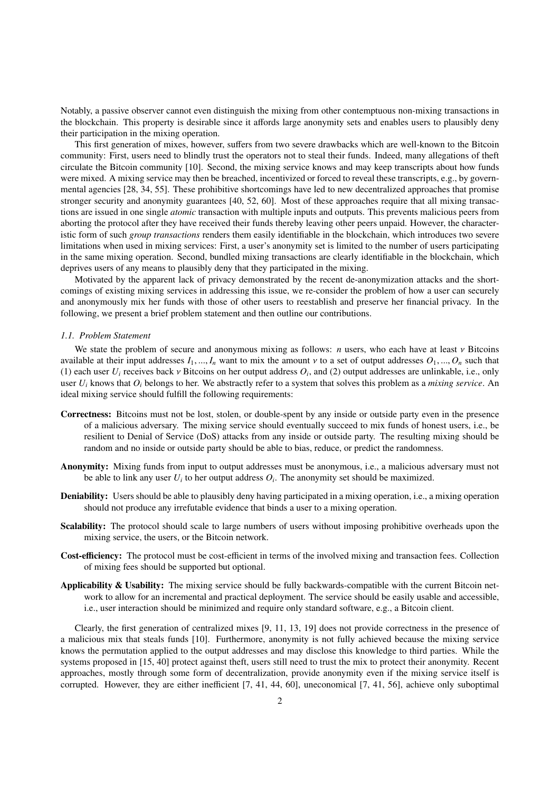Notably, a passive observer cannot even distinguish the mixing from other contemptuous non-mixing transactions in the blockchain. This property is desirable since it affords large anonymity sets and enables users to plausibly deny their participation in the mixing operation.

This first generation of mixes, however, suffers from two severe drawbacks which are well-known to the Bitcoin community: First, users need to blindly trust the operators not to steal their funds. Indeed, many allegations of theft circulate the Bitcoin community [10]. Second, the mixing service knows and may keep transcripts about how funds were mixed. A mixing service may then be breached, incentivized or forced to reveal these transcripts, e.g., by governmental agencies [28, 34, 55]. These prohibitive shortcomings have led to new decentralized approaches that promise stronger security and anonymity guarantees [40, 52, 60]. Most of these approaches require that all mixing transactions are issued in one single *atomic* transaction with multiple inputs and outputs. This prevents malicious peers from aborting the protocol after they have received their funds thereby leaving other peers unpaid. However, the characteristic form of such *group transactions* renders them easily identifiable in the blockchain, which introduces two severe limitations when used in mixing services: First, a user's anonymity set is limited to the number of users participating in the same mixing operation. Second, bundled mixing transactions are clearly identifiable in the blockchain, which deprives users of any means to plausibly deny that they participated in the mixing.

Motivated by the apparent lack of privacy demonstrated by the recent de-anonymization attacks and the shortcomings of existing mixing services in addressing this issue, we re-consider the problem of how a user can securely and anonymously mix her funds with those of other users to reestablish and preserve her financial privacy. In the following, we present a brief problem statement and then outline our contributions.

#### *1.1. Problem Statement*

We state the problem of secure and anonymous mixing as follows: *<sup>n</sup>* users, who each have at least ν Bitcoins available at their input addresses  $I_1, ..., I_n$  want to mix the amount  $\nu$  to a set of output addresses  $O_1, ..., O_n$  such that (1) each user  $U_i$  receives back  $\nu$  Bitcoins on her output address  $O_i$ , and (2) output addresses are unlinkable, i.e., only user  $U_i$  knows that  $O_i$  belongs to her. We abstractly refer to a system that solves this pro user *U<sup>i</sup>* knows that *O<sup>i</sup>* belongs to her. We abstractly refer to a system that solves this problem as a *mixing service*. An ideal mixing service should fulfill the following requirements:

- Correctness: Bitcoins must not be lost, stolen, or double-spent by any inside or outside party even in the presence of a malicious adversary. The mixing service should eventually succeed to mix funds of honest users, i.e., be resilient to Denial of Service (DoS) attacks from any inside or outside party. The resulting mixing should be random and no inside or outside party should be able to bias, reduce, or predict the randomness.
- Anonymity: Mixing funds from input to output addresses must be anonymous, i.e., a malicious adversary must not be able to link any user  $U_i$  to her output address  $O_i$ . The anonymity set should be maximized.
- Deniability: Users should be able to plausibly deny having participated in a mixing operation, i.e., a mixing operation should not produce any irrefutable evidence that binds a user to a mixing operation.
- Scalability: The protocol should scale to large numbers of users without imposing prohibitive overheads upon the mixing service, the users, or the Bitcoin network.
- Cost-efficiency: The protocol must be cost-efficient in terms of the involved mixing and transaction fees. Collection of mixing fees should be supported but optional.
- Applicability & Usability: The mixing service should be fully backwards-compatible with the current Bitcoin network to allow for an incremental and practical deployment. The service should be easily usable and accessible, i.e., user interaction should be minimized and require only standard software, e.g., a Bitcoin client.

Clearly, the first generation of centralized mixes [9, 11, 13, 19] does not provide correctness in the presence of a malicious mix that steals funds [10]. Furthermore, anonymity is not fully achieved because the mixing service knows the permutation applied to the output addresses and may disclose this knowledge to third parties. While the systems proposed in [15, 40] protect against theft, users still need to trust the mix to protect their anonymity. Recent approaches, mostly through some form of decentralization, provide anonymity even if the mixing service itself is corrupted. However, they are either inefficient [7, 41, 44, 60], uneconomical [7, 41, 56], achieve only suboptimal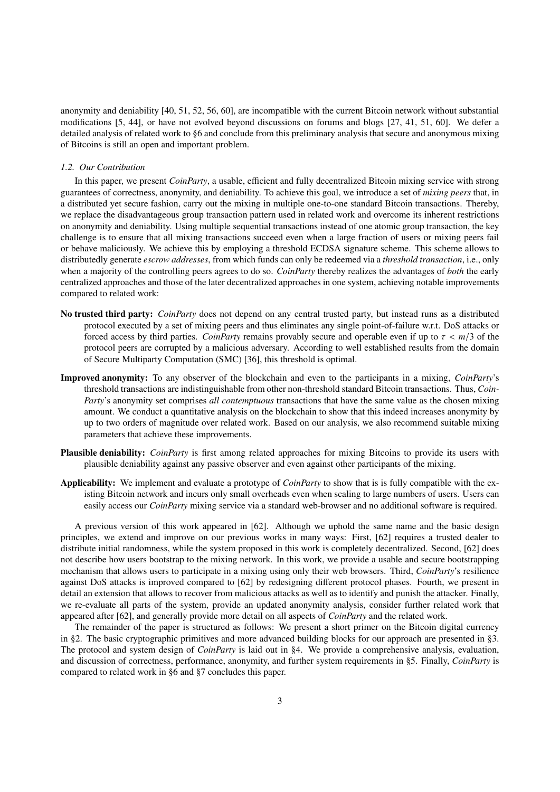anonymity and deniability [40, 51, 52, 56, 60], are incompatible with the current Bitcoin network without substantial modifications [5, 44], or have not evolved beyond discussions on forums and blogs [27, 41, 51, 60]. We defer a detailed analysis of related work to §6 and conclude from this preliminary analysis that secure and anonymous mixing of Bitcoins is still an open and important problem.

# *1.2. Our Contribution*

In this paper, we present *CoinParty*, a usable, efficient and fully decentralized Bitcoin mixing service with strong guarantees of correctness, anonymity, and deniability. To achieve this goal, we introduce a set of *mixing peers* that, in a distributed yet secure fashion, carry out the mixing in multiple one-to-one standard Bitcoin transactions. Thereby, we replace the disadvantageous group transaction pattern used in related work and overcome its inherent restrictions on anonymity and deniability. Using multiple sequential transactions instead of one atomic group transaction, the key challenge is to ensure that all mixing transactions succeed even when a large fraction of users or mixing peers fail or behave maliciously. We achieve this by employing a threshold ECDSA signature scheme. This scheme allows to distributedly generate *escrow addresses*, from which funds can only be redeemed via a *threshold transaction*, i.e., only when a majority of the controlling peers agrees to do so. *CoinParty* thereby realizes the advantages of *both* the early centralized approaches and those of the later decentralized approaches in one system, achieving notable improvements compared to related work:

- No trusted third party: *CoinParty* does not depend on any central trusted party, but instead runs as a distributed protocol executed by a set of mixing peers and thus eliminates any single point-of-failure w.r.t. DoS attacks or forced access by third parties. *CoinParty* remains provably secure and operable even if up to  $\tau < m/3$  of the protocol peers are corrupted by a malicious adversary. According to well established results from the domain of Secure Multiparty Computation (SMC) [36], this threshold is optimal.
- Improved anonymity: To any observer of the blockchain and even to the participants in a mixing, *CoinParty*'s threshold transactions are indistinguishable from other non-threshold standard Bitcoin transactions. Thus, *Coin-Party*'s anonymity set comprises *all contemptuous* transactions that have the same value as the chosen mixing amount. We conduct a quantitative analysis on the blockchain to show that this indeed increases anonymity by up to two orders of magnitude over related work. Based on our analysis, we also recommend suitable mixing parameters that achieve these improvements.
- Plausible deniability: *CoinParty* is first among related approaches for mixing Bitcoins to provide its users with plausible deniability against any passive observer and even against other participants of the mixing.
- Applicability: We implement and evaluate a prototype of *CoinParty* to show that is is fully compatible with the existing Bitcoin network and incurs only small overheads even when scaling to large numbers of users. Users can easily access our *CoinParty* mixing service via a standard web-browser and no additional software is required.

A previous version of this work appeared in [62]. Although we uphold the same name and the basic design principles, we extend and improve on our previous works in many ways: First, [62] requires a trusted dealer to distribute initial randomness, while the system proposed in this work is completely decentralized. Second, [62] does not describe how users bootstrap to the mixing network. In this work, we provide a usable and secure bootstrapping mechanism that allows users to participate in a mixing using only their web browsers. Third, *CoinParty*'s resilience against DoS attacks is improved compared to [62] by redesigning different protocol phases. Fourth, we present in detail an extension that allows to recover from malicious attacks as well as to identify and punish the attacker. Finally, we re-evaluate all parts of the system, provide an updated anonymity analysis, consider further related work that appeared after [62], and generally provide more detail on all aspects of *CoinParty* and the related work.

The remainder of the paper is structured as follows: We present a short primer on the Bitcoin digital currency in §2. The basic cryptographic primitives and more advanced building blocks for our approach are presented in §3. The protocol and system design of *CoinParty* is laid out in §4. We provide a comprehensive analysis, evaluation, and discussion of correctness, performance, anonymity, and further system requirements in §5. Finally, *CoinParty* is compared to related work in §6 and §7 concludes this paper.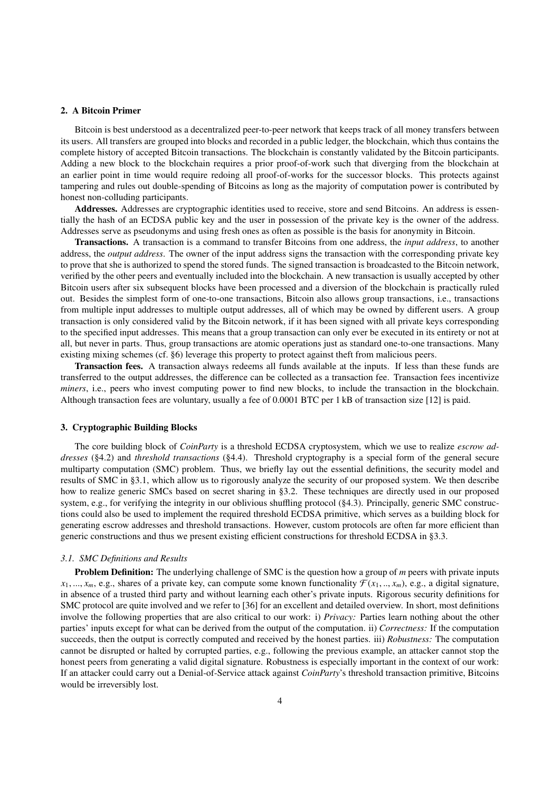# 2. A Bitcoin Primer

Bitcoin is best understood as a decentralized peer-to-peer network that keeps track of all money transfers between its users. All transfers are grouped into blocks and recorded in a public ledger, the blockchain, which thus contains the complete history of accepted Bitcoin transactions. The blockchain is constantly validated by the Bitcoin participants. Adding a new block to the blockchain requires a prior proof-of-work such that diverging from the blockchain at an earlier point in time would require redoing all proof-of-works for the successor blocks. This protects against tampering and rules out double-spending of Bitcoins as long as the majority of computation power is contributed by honest non-colluding participants.

Addresses. Addresses are cryptographic identities used to receive, store and send Bitcoins. An address is essentially the hash of an ECDSA public key and the user in possession of the private key is the owner of the address. Addresses serve as pseudonyms and using fresh ones as often as possible is the basis for anonymity in Bitcoin.

Transactions. A transaction is a command to transfer Bitcoins from one address, the *input address*, to another address, the *output address*. The owner of the input address signs the transaction with the corresponding private key to prove that she is authorized to spend the stored funds. The signed transaction is broadcasted to the Bitcoin network, verified by the other peers and eventually included into the blockchain. A new transaction is usually accepted by other Bitcoin users after six subsequent blocks have been processed and a diversion of the blockchain is practically ruled out. Besides the simplest form of one-to-one transactions, Bitcoin also allows group transactions, i.e., transactions from multiple input addresses to multiple output addresses, all of which may be owned by different users. A group transaction is only considered valid by the Bitcoin network, if it has been signed with all private keys corresponding to the specified input addresses. This means that a group transaction can only ever be executed in its entirety or not at all, but never in parts. Thus, group transactions are atomic operations just as standard one-to-one transactions. Many existing mixing schemes (cf. §6) leverage this property to protect against theft from malicious peers.

Transaction fees. A transaction always redeems all funds available at the inputs. If less than these funds are transferred to the output addresses, the difference can be collected as a transaction fee. Transaction fees incentivize *miners*, i.e., peers who invest computing power to find new blocks, to include the transaction in the blockchain. Although transaction fees are voluntary, usually a fee of 0.0001 BTC per 1 kB of transaction size [12] is paid.

# 3. Cryptographic Building Blocks

The core building block of *CoinParty* is a threshold ECDSA cryptosystem, which we use to realize *escrow addresses* (§4.2) and *threshold transactions* (§4.4). Threshold cryptography is a special form of the general secure multiparty computation (SMC) problem. Thus, we briefly lay out the essential definitions, the security model and results of SMC in §3.1, which allow us to rigorously analyze the security of our proposed system. We then describe how to realize generic SMCs based on secret sharing in §3.2. These techniques are directly used in our proposed system, e.g., for verifying the integrity in our oblivious shuffling protocol (§4.3). Principally, generic SMC constructions could also be used to implement the required threshold ECDSA primitive, which serves as a building block for generating escrow addresses and threshold transactions. However, custom protocols are often far more efficient than generic constructions and thus we present existing efficient constructions for threshold ECDSA in §3.3.

#### *3.1. SMC Definitions and Results*

Problem Definition: The underlying challenge of SMC is the question how a group of *m* peers with private inputs  $x_1, ..., x_m$ , e.g., shares of a private key, can compute some known functionality  $\mathcal{F}(x_1, ..., x_m)$ , e.g., a digital signature, in absence of a trusted third party and without learning each other's private inputs. Rigorous security definitions for SMC protocol are quite involved and we refer to [36] for an excellent and detailed overview. In short, most definitions involve the following properties that are also critical to our work: i) *Privacy:* Parties learn nothing about the other parties' inputs except for what can be derived from the output of the computation. ii) *Correctness:* If the computation succeeds, then the output is correctly computed and received by the honest parties. iii) *Robustness:* The computation cannot be disrupted or halted by corrupted parties, e.g., following the previous example, an attacker cannot stop the honest peers from generating a valid digital signature. Robustness is especially important in the context of our work: If an attacker could carry out a Denial-of-Service attack against *CoinParty*'s threshold transaction primitive, Bitcoins would be irreversibly lost.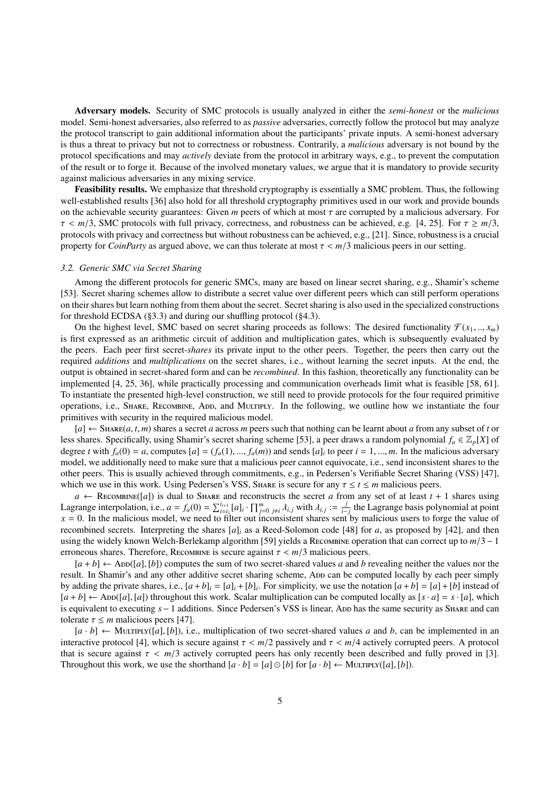Adversary models. Security of SMC protocols is usually analyzed in either the *semi-honest* or the *malicious* model. Semi-honest adversaries, also referred to as *passive* adversaries, correctly follow the protocol but may analyze the protocol transcript to gain additional information about the participants' private inputs. A semi-honest adversary is thus a threat to privacy but not to correctness or robustness. Contrarily, a *malicious* adversary is not bound by the protocol specifications and may *actively* deviate from the protocol in arbitrary ways, e.g., to prevent the computation of the result or to forge it. Because of the involved monetary values, we argue that it is mandatory to provide security against malicious adversaries in any mixing service.

Feasibility results. We emphasize that threshold cryptography is essentially a SMC problem. Thus, the following well-established results [36] also hold for all threshold cryptography primitives used in our work and provide bounds on the achievable security guarantees: Given *<sup>m</sup>* peers of which at most τ are corrupted by a malicious adversary. For  $\tau < m/3$ , SMC protocols with full privacy, correctness, and robustness can be achieved, e.g. [4, 25]. For  $\tau \ge m/3$ , protocols with privacy and correctness but without robustness can be achieved, e.g., [21]. Since, robustness is a crucial property for *CoinParty* as argued above, we can thus tolerate at most  $\tau < m/3$  malicious peers in our setting.

#### *3.2. Generic SMC via Secret Sharing*

Among the different protocols for generic SMCs, many are based on linear secret sharing, e.g., Shamir's scheme [53]. Secret sharing schemes allow to distribute a secret value over different peers which can still perform operations on their shares but learn nothing from them about the secret. Secret sharing is also used in the specialized constructions for threshold ECDSA (§3.3) and during our shuffling protocol (§4.3).

On the highest level, SMC based on secret sharing proceeds as follows: The desired functionality  $\mathcal{F}(x_1, ..., x_m)$ is first expressed as an arithmetic circuit of addition and multiplication gates, which is subsequently evaluated by the peers. Each peer first secret-*shares* its private input to the other peers. Together, the peers then carry out the required *additions* and *multiplications* on the secret shares, i.e., without learning the secret inputs. At the end, the output is obtained in secret-shared form and can be *recombined*. In this fashion, theoretically any functionality can be implemented [4, 25, 36], while practically processing and communication overheads limit what is feasible [58, 61]. To instantiate the presented high-level construction, we still need to provide protocols for the four required primitive operations, i.e., Share, Recombine, Add, and Multiply. In the following, we outline how we instantiate the four primitives with security in the required malicious model.

 $[a] \leftarrow$  Share(*a*, *t*, *m*) shares a secret *a* across *m* peers such that nothing can be learnt about *a* from any subset of *t* or less shares. Specifically, using Shamir's secret sharing scheme [53], a peer draws a random polynomial  $f_a \in \mathbb{Z}_p[X]$  of degree *t* with  $f_a(0) = a$ , computes  $[a] = (f_a(1), ..., f_a(m))$  and sends  $[a]_i$  to peer  $i = 1, ..., m$ . In the malicious adversary model, we additionally need to make sure that a malicious peer cannot equivocate, i.e., send inconsistent shares to the other peers. This is usually achieved through commitments, e.g., in Pedersen's Verifiable Secret Sharing (VSS) [47], which we use in this work. Using Pedersen's VSS, SHARE is secure for any  $\tau \le t \le m$  malicious peers.

 $a \leftarrow$  Recombine([*a*]) is dual to Share and reconstructs the secret *a* from any set of at least  $t + 1$  shares using Lagrange interpolation, i.e.,  $a = f_a(0) = \sum_{i=1}^{i_{i+1}} [a]_i \cdot \prod_{j=0}^m a_{i,j}$  with  $\lambda_{i,j} := \frac{j}{i-j}$  the Lagrange basis polynomial at point  $x = 0$ . In the malicious model, we need to filter out inconsistent shares sent by ma  $x = 0$ . In the malicious model, we need to filter out inconsistent shares sent by malicious users to forge the value of recombined secrets. Interpreting the shares [*a*]*<sup>i</sup>* as a Reed-Solomon code [48] for *a*, as proposed by [42], and then using the widely known Welch-Berlekamp algorithm [59] yields a Recombine operation that can correct up to *<sup>m</sup>*/<sup>3</sup> <sup>−</sup> <sup>1</sup> erroneous shares. Therefore, Recombine is secure against  $\tau < m/3$  malicious peers.

 $[a + b] \leftarrow$  App([*a*], [*b*]) computes the sum of two secret-shared values *a* and *b* revealing neither the values nor the result. In Shamir's and any other additive secret sharing scheme, App can be computed locally by each peer simply by adding the private shares, i.e.,  $[a + b]_i = [a]_i + [b]_i$ . For simplicity, we use the notation  $[a + b] = [a] + [b]$  instead of  $[a + b] \leftarrow$  App([*a*], [*a*]) throughout this work. Scalar multiplication can be computed locally as  $[s \cdot a] = s \cdot [a]$ , which is equivalent to executing *s*−1 additions. Since Pedersen's VSS is linear, ADD has the same security as Sнаке and can tolerate  $\tau \leq m$  malicious peers [47].

 $[a \cdot b] \leftarrow$  Multiply([*a*], [*b*]), i.e., multiplication of two secret-shared values *a* and *b*, can be implemented in an interactive protocol [4], which is secure against τ < *<sup>m</sup>*/2 passively and τ < *<sup>m</sup>*/4 actively corrupted peers. A protocol that is secure against  $\tau < m/3$  actively corrupted peers has only recently been described and fully proved in [3]. Throughout this work, we use the shorthand  $[a \cdot b] = [a] \odot [b]$  for  $[a \cdot b] \leftarrow$  Multiply( $[a], [b]$ ).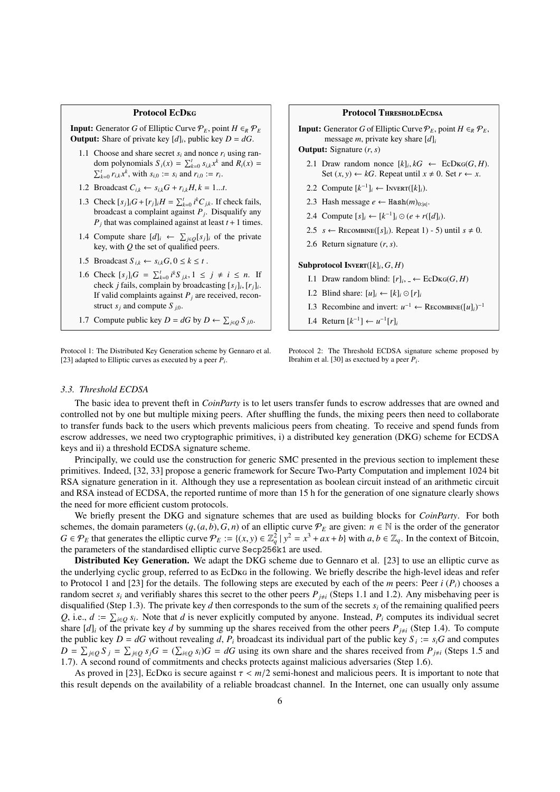#### Protocol EcD<sub>KG</sub>

**Input:** Generator *G* of Elliptic Curve  $P_E$ , point  $H \in_R P_E$ **Output:** Share of private key  $[d]_i$ , public key  $D = dG$ .

- 1.1 Choose and share secret  $s_i$  and nonce  $r_i$  using random polynomials  $S_i(x) = \sum_{k=0}^{t} s_{i,k} x^k$  and  $R_i(x) = \sum_{k=0}^{t} a_{i,k} x^k$  $\sum_{k=0}^{t} r_{i,k} x^{k}$ , with  $s_{i,0} := s_{i}$  and  $r_{i,0} := r_{i}$ .
- 1.2 Broadcast  $C_{i,k} \leftarrow s_{i,k}G + r_{i,k}H, k = 1...t$ .
- 1.3 Check  $[s_j]_iG + [r_j]_iH = \sum_{k=0}^t i^kC_{j,k}$ . If check fails, broadcast a complaint against *P<sup>j</sup>* . Disqualify any  $P_j$  that was complained against at least  $t + 1$  times.
- 1.4 Compute share  $[d]_i \leftarrow \sum_{j \in Q} [s_j]_i$  of the private key, with  $Q$  the set of qualified peers.
- 1.5 Broadcast  $S_{i,k} \leftarrow s_{i,k} G, 0 \leq k \leq t$ .
- 1.6 Check  $[s_j]_iG = \sum_{k=0}^t i^k S_{jk}, 1 \le j \ne i \le n$ . If check *j* fails, complain by broadcasting  $[s_j]_i$ ,  $[r_j]_i$ .<br>If valid complaints against  $P_i$  are received recon-If valid complaints against  $P_j$  are received, reconstruct  $s_j$  and compute  $S_{j,0}$ .
- 1.7 Compute public key *D* = *dG* by *D* ←  $\sum_{j \in Q} S_{j,0}$ .

Protocol 1: The Distributed Key Generation scheme by Gennaro et al. [23] adapted to Elliptic curves as executed by a peer  $P_i$ .

Protocol THRESHOLDECDSA

- **Input:** Generator *G* of Elliptic Curve  $P_E$ , point  $H \in_R P_E$ , message *m*, private key share [*d*]*<sup>i</sup>* Output: Signature (*r*, *<sup>s</sup>*)
	- 2.1 Draw random nonce  $[k]_i, kG \leftarrow \text{EcDkG}(G, H)$ .<br>Set  $(x, y) \leftarrow kG$ . Repeat until  $x \neq 0$ . Set  $x \leftarrow x$ . Set  $(x, y) \leftarrow kG$ . Repeat until  $x \neq 0$ . Set  $r \leftarrow x$ .
	- 2.2 Compute  $[k^{-1}]$ <sub>*i*</sub> ← Invert( $[k]$ *i*).
	- 2.3 Hash message  $e \leftarrow \text{Hash}(m)_{0:|n|}$ .
	- 2.4 Compute  $[s]_i \leftarrow [k^{-1}]_i \odot (e + r([d]_i)).$
	- 2.5 *s* ← RECOMBINE([*s*]<sub>*i*</sub>). Repeat 1) 5) until *s*  $\neq$  0.
- 2.6 Return signature (*r*, *<sup>s</sup>*).

# Subprotocol Invert( $[k]_i, G, H$ )

- I.1 Draw random blind:  $[r]$ <sub>*i*</sub>, <sub>→</sub> ← EcDkG(*G*, *H*)
- I.2 Blind share:  $[u]_i \leftarrow [k]_i \odot [r]_i$
- I.3 Recombine and invert:  $u^{-1}$  ← RECOMBINE([*u*]<sub>*i*</sub>)<sup>-1</sup>

Protocol 2: The Threshold ECDSA signature scheme proposed by

I.4 Return  $[k^{-1}]$  ←  $u^{-1}[r]$ *i* 

Ibrahim et al. [30] as exectued by a peer *P<sup>i</sup>* .

#### *3.3. Threshold ECDSA*

The basic idea to prevent theft in *CoinParty* is to let users transfer funds to escrow addresses that are owned and controlled not by one but multiple mixing peers. After shuffling the funds, the mixing peers then need to collaborate to transfer funds back to the users which prevents malicious peers from cheating. To receive and spend funds from escrow addresses, we need two cryptographic primitives, i) a distributed key generation (DKG) scheme for ECDSA keys and ii) a threshold ECDSA signature scheme.

Principally, we could use the construction for generic SMC presented in the previous section to implement these primitives. Indeed, [32, 33] propose a generic framework for Secure Two-Party Computation and implement 1024 bit RSA signature generation in it. Although they use a representation as boolean circuit instead of an arithmetic circuit and RSA instead of ECDSA, the reported runtime of more than 15 h for the generation of one signature clearly shows the need for more efficient custom protocols.

We briefly present the DKG and signature schemes that are used as building blocks for *CoinParty*. For both schemes, the domain parameters  $(q, (a, b), G, n)$  of an elliptic curve  $P_E$  are given:  $n \in \mathbb{N}$  is the order of the generator *G* ∈  $\mathcal{P}_E$  that generates the elliptic curve  $\mathcal{P}_E := \{(x, y) \in \mathbb{Z}_q^2 \mid y^2 = x^3 + ax + b\}$  with *a*, *b* ∈  $\mathbb{Z}_q$ . In the context of Bitcoin, the parameters of the standardised elliptic curve Secn256k1 are used the parameters of the standardised elliptic curve Secp256k1 are used.

Distributed Key Generation. We adapt the DKG scheme due to Gennaro et al. [23] to use an elliptic curve as the underlying cyclic group, referred to as EcDkg in the following. We briefly describe the high-level ideas and refer to Protocol 1 and [23] for the details. The following steps are executed by each of the *m* peers: Peer *i* (*Pi*) chooses a random secret  $s_i$  and verifiably shares this secret to the other peers  $P_{i\neq i}$  (Steps 1.1 and 1.2). Any misbehaving peer is disqualified (Step 1.3). The private key *d* then corresponds to the sum of the secrets *s<sup>i</sup>* of the remaining qualified peers Q, i.e.,  $d := \sum_{i \in Q} s_i$ . Note that *d* is never explicitly computed by anyone. Instead,  $P_i$  computes its individual secret share  $[d]$ *i* of the private key *d* by summing up the shares received from the other peers  $P_{j\neq i}$  (Step 1.4). To compute the public key  $D = dG$  without revealing  $d$ ,  $P_i$  broadcast its individual part of the public key  $S_i := s_i G$  and computes  $D = \sum_{j \in Q} S_j = \sum_{j \in Q} s_j G = (\sum_{i \in Q} s_i) G = dG$  using its own share and the shares received from  $P_{j \neq i}$  (Steps 1.5 and 1.7). A second round of commitments and checks protects against malicious adversaries (Step 1.6).

As proved in [23], EcDkG is secure against  $\tau < m/2$  semi-honest and malicious peers. It is important to note that this result depends on the availability of a reliable broadcast channel. In the Internet, one can usually only assume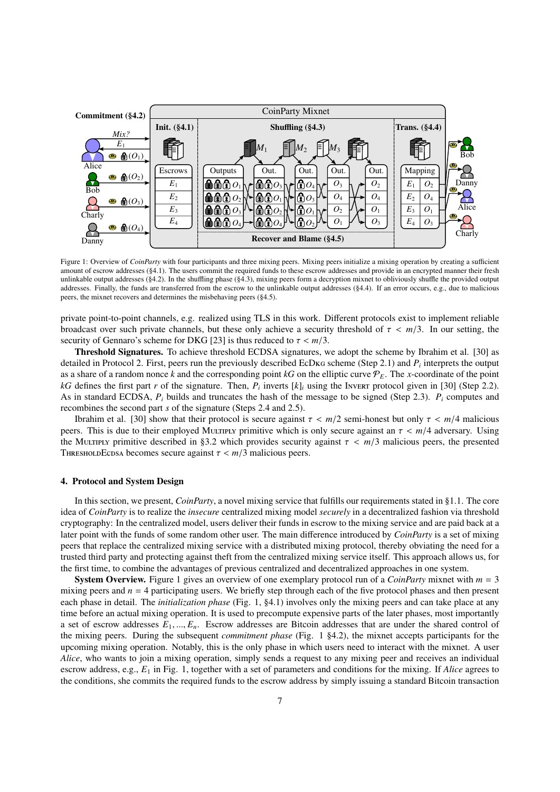

Figure 1: Overview of *CoinParty* with four participants and three mixing peers. Mixing peers initialize a mixing operation by creating a sufficient amount of escrow addresses (§4.1). The users commit the required funds to these escrow addresses and provide in an encrypted manner their fresh unlinkable output addresses (§4.2). In the shuffling phase (§4.3), mixing peers form a decryption mixnet to obliviously shuffle the provided output addresses. Finally, the funds are transferred from the escrow to the unlinkable output addresses (§4.4). If an error occurs, e.g., due to malicious peers, the mixnet recovers and determines the misbehaving peers (§4.5).

private point-to-point channels, e.g. realized using TLS in this work. Different protocols exist to implement reliable broadcast over such private channels, but these only achieve a security threshold of τ < *<sup>m</sup>*/3. In our setting, the security of Gennaro's scheme for DKG [23] is thus reduced to  $\tau \le m/3$ .

Threshold Signatures. To achieve threshold ECDSA signatures, we adopt the scheme by Ibrahim et al. [30] as detailed in Protocol 2. First, peers run the previously described EcDkg scheme (Step 2.1) and *P<sup>i</sup>* interprets the output as a share of a random nonce *k* and the corresponding point *kG* on the elliptic curve  $P_E$ . The *x*-coordinate of the point *kG* defines the first part *r* of the signature. Then,  $P_i$  inverts  $[k]_i$  using the Invert protocol given in [30] (Step 2.2). As in standard ECDSA, *P<sup>i</sup>* builds and truncates the hash of the message to be signed (Step 2.3). *P<sup>i</sup>* computes and recombines the second part *s* of the signature (Steps 2.4 and 2.5).

Ibrahim et al. [30] show that their protocol is secure against  $\tau < m/2$  semi-honest but only  $\tau < m/4$  malicious peers. This is due to their employed Multiply primitive which is only secure against an τ < *<sup>m</sup>*/4 adversary. Using the Multiply primitive described in §3.2 which provides security against  $\tau < m/3$  malicious peers, the presented THRESHOLDECDSA becomes secure against  $\tau < m/3$  malicious peers.

# 4. Protocol and System Design

In this section, we present, *CoinParty*, a novel mixing service that fulfills our requirements stated in §1.1. The core idea of *CoinParty* is to realize the *insecure* centralized mixing model *securely* in a decentralized fashion via threshold cryptography: In the centralized model, users deliver their funds in escrow to the mixing service and are paid back at a later point with the funds of some random other user. The main difference introduced by *CoinParty* is a set of mixing peers that replace the centralized mixing service with a distributed mixing protocol, thereby obviating the need for a trusted third party and protecting against theft from the centralized mixing service itself. This approach allows us, for the first time, to combine the advantages of previous centralized and decentralized approaches in one system.

System Overview. Figure 1 gives an overview of one exemplary protocol run of a *CoinParty* mixnet with *m* = 3 mixing peers and  $n = 4$  participating users. We briefly step through each of the five protocol phases and then present each phase in detail. The *initialization phase* (Fig. 1, §4.1) involves only the mixing peers and can take place at any time before an actual mixing operation. It is used to precompute expensive parts of the later phases, most importantly a set of escrow addresses *<sup>E</sup>*<sup>1</sup>, ..., *<sup>E</sup>n*. Escrow addresses are Bitcoin addresses that are under the shared control of the mixing peers. During the subsequent *commitment phase* (Fig. 1 §4.2), the mixnet accepts participants for the upcoming mixing operation. Notably, this is the only phase in which users need to interact with the mixnet. A user *Alice*, who wants to join a mixing operation, simply sends a request to any mixing peer and receives an individual escrow address, e.g., *E*<sup>1</sup> in Fig. 1, together with a set of parameters and conditions for the mixing. If *Alice* agrees to the conditions, she commits the required funds to the escrow address by simply issuing a standard Bitcoin transaction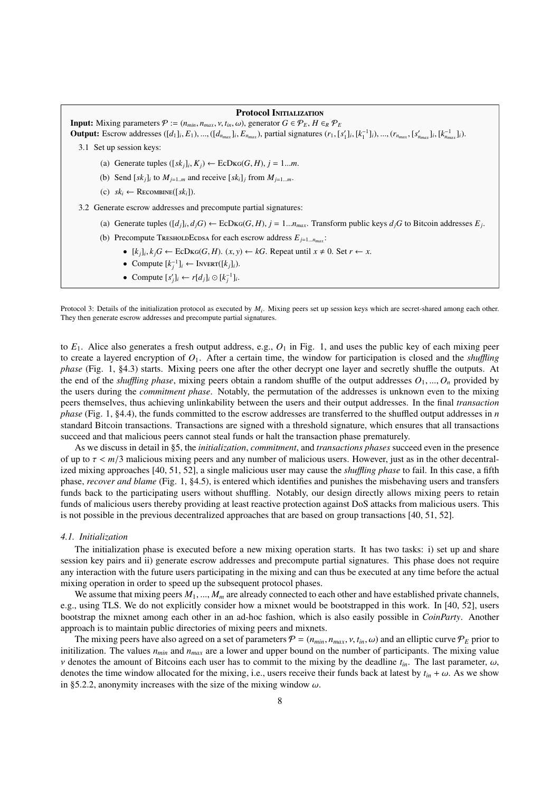**Input:** Mixing parameters  $P := (n_{min}, n_{max}, v, t_{in}, \omega)$ , generator  $G \in \mathcal{P}_E$ ,  $H \in_R \mathcal{P}_E$ **Output:** Escrow addresses ([d<sub>1</sub>]<sub>i</sub>, E<sub>1</sub>), ..., ([d<sub>nmax</sub>]<sub>i</sub>, E<sub>nmax</sub>), partial signatures (r<sub>1</sub>, [s'<sub>1</sub>]<sub>i</sub>, [k<sub><sup>1</sub></sup>]<sub>i</sub>]), ..., (r<sub>nmax</sub>, [s'<sub>nmax</sub>]<sub>i</sub>, [k<sub>nmax</sub>]<sub>i</sub>, [k<sup>-1</sup><sub>nmax</sub>]<sub>i</sub>, [k<sup>-1</sup><sub>nmax</sub>]<sub>i</sub>, [k<sup>-1</sup><sub>nmax</sub></sub> 3.1 Set up session keys: (a) Generate tuples  $([sk<sub>j</sub>]<sub>i</sub>, K<sub>j</sub>) \leftarrow \text{EcDkG}(G, H), j = 1...m$ . (b) Send  $[sk_j]_i$  to  $M_{j=1..m}$  and receive  $[sk_i]_j$  from  $M_{j=1..m}$ . (c)  $sk_i \leftarrow \text{RecomBINE}([sk_i]).$ 3.2 Generate escrow addresses and precompute partial signatures: (a) Generate tuples  $([d_j]_i, d_j G) \leftarrow \text{ECDKG}(G, H), j = 1...n_{max}$ . Transform public keys  $d_j G$  to Bitcoin addresses  $E_j$ . (b) Precompute TRESHOLDECDSA for each escrow address  $E_{j=1...n_{max}}$ . •  $[k_j]_i, k_jG \leftarrow \text{EcDkG}(G, H)$ .  $(x, y) \leftarrow kG$ . Repeat until  $x \neq 0$ . Set  $r \leftarrow x$ .

Protocol Initialization

- Compute  $[k_j^{-1}]_i \leftarrow \text{INVERT}([k_j]_i)$ .
- Compute  $[s'_j]_i \leftarrow r[d_j]_i \odot [k_j^{-1}]_i$ .

Protocol 3: Details of the initialization protocol as executed by  $M_i$ . Mixing peers set up session keys which are secret-shared among each other. They then generate escrow addresses and precompute partial signatures.

to  $E_1$ . Alice also generates a fresh output address, e.g.,  $O_1$  in Fig. 1, and uses the public key of each mixing peer to create a layered encryption of  $O_1$ . After a certain time, the window for participation is closed and the *shuffling phase* (Fig. 1, §4.3) starts. Mixing peers one after the other decrypt one layer and secretly shuffle the outputs. At the end of the *shuffling phase*, mixing peers obtain a random shuffle of the output addresses  $O_1$ , ...,  $O_n$  provided by the users during the *commitment phase*. Notably, the permutation of the addresses is unknown even to the mixing peers themselves, thus achieving unlinkability between the users and their output addresses. In the final *transaction phase* (Fig. 1, §4.4), the funds committed to the escrow addresses are transferred to the shuffled output addresses in *n* standard Bitcoin transactions. Transactions are signed with a threshold signature, which ensures that all transactions succeed and that malicious peers cannot steal funds or halt the transaction phase prematurely.

As we discuss in detail in §5, the *initialization*, *commitment*, and *transactions phases* succeed even in the presence of up to  $\tau < m/3$  malicious mixing peers and any number of malicious users. However, just as in the other decentralized mixing approaches [40, 51, 52], a single malicious user may cause the *shu*ffl*ing phase* to fail. In this case, a fifth phase, *recover and blame* (Fig. 1, §4.5), is entered which identifies and punishes the misbehaving users and transfers funds back to the participating users without shuffling. Notably, our design directly allows mixing peers to retain funds of malicious users thereby providing at least reactive protection against DoS attacks from malicious users. This is not possible in the previous decentralized approaches that are based on group transactions [40, 51, 52].

## *4.1. Initialization*

The initialization phase is executed before a new mixing operation starts. It has two tasks: i) set up and share session key pairs and ii) generate escrow addresses and precompute partial signatures. This phase does not require any interaction with the future users participating in the mixing and can thus be executed at any time before the actual mixing operation in order to speed up the subsequent protocol phases.

We assume that mixing peers *<sup>M</sup>*<sup>1</sup>, ..., *<sup>M</sup><sup>m</sup>* are already connected to each other and have established private channels, e.g., using TLS. We do not explicitly consider how a mixnet would be bootstrapped in this work. In [40, 52], users bootstrap the mixnet among each other in an ad-hoc fashion, which is also easily possible in *CoinParty*. Another approach is to maintain public directories of mixing peers and mixnets.

The mixing peers have also agreed on a set of parameters  $P = (n_{min}, n_{max}, v, t_{in}, \omega)$  and an elliptic curve  $P_E$  prior to initilization. The values *nmin* and *nmax* are a lower and upper bound on the number of participants. The mixing value ν denotes the amount of Bitcoins each user has to commit to the mixing by the deadline *<sup>t</sup>in*. The last parameter, ω, denotes the time window allocated for the mixing, i.e., users receive their funds back at latest by  $t_{in} + \omega$ . As we show in §5.2.2, anonymity increases with the size of the mixing window  $\omega$ .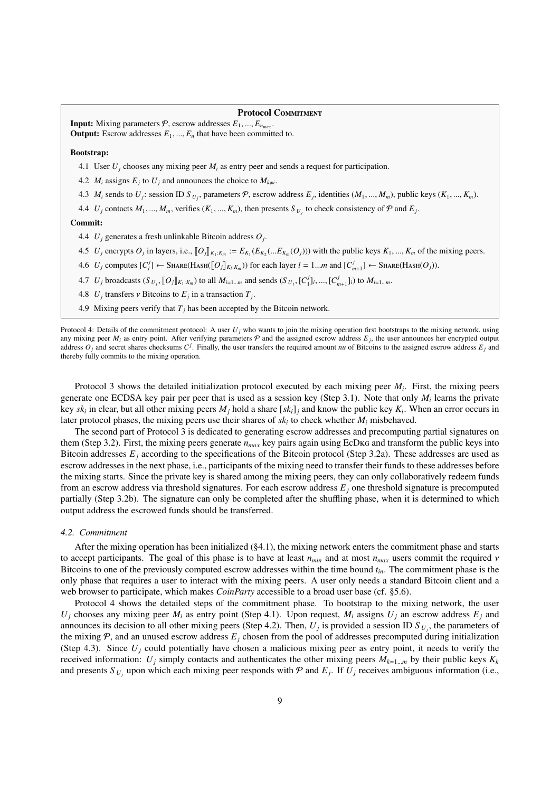Protocol COMMITMENT **Input:** Mixing parameters  $P$ , escrow addresses  $E_1$ , ...,  $E_{n_{max}}$ .<br>Output: Escrow addresses  $E_i$ .  $E_i$  that have been commit **Output:** Escrow addresses  $E_1, ..., E_n$  that have been committed to. Bootstrap: 4.1 User  $U_j$  chooses any mixing peer  $M_i$  as entry peer and sends a request for participation. 4.2  $M_i$  assigns  $E_j$  to  $U_j$  and announces the choice to  $M_{k \neq i}$ . 4.3  $M_i$  sends to  $U_j$ : session ID  $S_{U_j}$ , parameters  $P$ , escrow address  $E_j$ , identities  $(M_1, ..., M_m)$ , public keys  $(K_1, ..., K_m)$ . 4.4 *U<sub>j</sub>* contacts  $M_1, ..., M_m$ , verifies  $(K_1, ..., K_m)$ , then presents  $S_{U_j}$  to check consistency of  $P$  and  $E_j$ . Commit: 4.4 *U<sup>j</sup>* generates a fresh unlinkable Bitcoin address *O<sup>j</sup>* . 4.5  $U_j$  encrypts  $O_j$  in layers, i.e.,  $[O_j]_{K_1:K_m} := E_{K_1}(E_{K_2}(...E_{K_m}(O_j)))$  with the public keys  $K_1, ..., K_m$  of the mixing peers. 4.6  $U_j$  computes  $[C_j^j] \leftarrow$  Share(Hash( $[O_j]_{K_l:K_m}$ )) for each layer  $l = 1...m$  and  $[C_{m+1}^j] \leftarrow$  Share(Hash( $O_j$ )). 4.7  $U_j$  broadcasts  $(S_{U_j}, [O_j]_{K_1:K_m})$  to all  $M_{i=1...m}$  and sends  $(S_{U_j}, [C_1^j]_i, ..., [C_{m+1}^j]_i)$  to  $M_{i=1...m}$ . 4.8 *U<sub>j</sub>* transfers *v* Bitcoins to  $E_j$  in a transaction  $T_j$ .

4.9 Mixing peers verify that  $T_i$  has been accepted by the Bitcoin network.

Protocol 4: Details of the commitment protocol: A user *U<sup>j</sup>* who wants to join the mixing operation first bootstraps to the mixing network, using any mixing peer  $M_i$  as entry point. After verifying parameters  $P$  and the assigned escrow address  $E_j$ , the user announces her encrypted output address  $O_j$  and secret shares checksums  $C^j$ . Finally, the user transfers the required amount *nu* of Bitcoins to the assigned escrow address  $E_j$  and thereby fully commits to the mixing operation.

Protocol 3 shows the detailed initialization protocol executed by each mixing peer *M<sup>i</sup>* . First, the mixing peers generate one ECDSA key pair per peer that is used as a session key (Step 3.1). Note that only *M<sup>i</sup>* learns the private key *sk<sup>i</sup>* in clear, but all other mixing peers *M<sup>j</sup>* hold a share [*ski*]*<sup>j</sup>* and know the public key *K<sup>i</sup>* . When an error occurs in later protocol phases, the mixing peers use their shares of *sk<sup>i</sup>* to check whether *M<sup>i</sup>* misbehaved.

The second part of Protocol 3 is dedicated to generating escrow addresses and precomputing partial signatures on them (Step 3.2). First, the mixing peers generate *nmax* key pairs again using EcDkg and transform the public keys into Bitcoin addresses  $E_j$  according to the specifications of the Bitcoin protocol (Step 3.2a). These addresses are used as escrow addresses in the next phase, i.e., participants of the mixing need to transfer their funds to these addresses before the mixing starts. Since the private key is shared among the mixing peers, they can only collaboratively redeem funds from an escrow address via threshold signatures. For each escrow address *E<sup>j</sup>* one threshold signature is precomputed partially (Step 3.2b). The signature can only be completed after the shuffling phase, when it is determined to which output address the escrowed funds should be transferred.

#### *4.2. Commitment*

After the mixing operation has been initialized (§4.1), the mixing network enters the commitment phase and starts to accept participants. The goal of this phase is to have at least *<sup>n</sup>min* and at most *<sup>n</sup>max* users commit the required <sup>ν</sup> Bitcoins to one of the previously computed escrow addresses within the time bound *tin*. The commitment phase is the only phase that requires a user to interact with the mixing peers. A user only needs a standard Bitcoin client and a web browser to participate, which makes *CoinParty* accessible to a broad user base (cf. §5.6).

Protocol 4 shows the detailed steps of the commitment phase. To bootstrap to the mixing network, the user *U*<sup>*j*</sup> chooses any mixing peer *M<sub>i</sub>* as entry point (Step 4.1). Upon request, *M<sub>i</sub>* assigns *U<sub>i</sub>* an escrow address  $E_i$  and announces its decision to all other mixing peers (Step 4.2). Then,  $U_j$  is provided a session ID  $S_{U_j}$ , the parameters of the mixing  $P$ , and an unused escrow address  $E_i$  chosen from the pool of addresses precomputed during initialization (Step 4.3). Since  $U_j$  could potentially have chosen a malicious mixing peer as entry point, it needs to verify the received information:  $U_j$  simply contacts and authenticates the other mixing peers  $M_{k=1...m}$  by their public keys  $K_k$ and presents  $S_{U_j}$  upon which each mixing peer responds with  $P$  and  $E_j$ . If  $U_j$  receives ambiguous information (i.e.,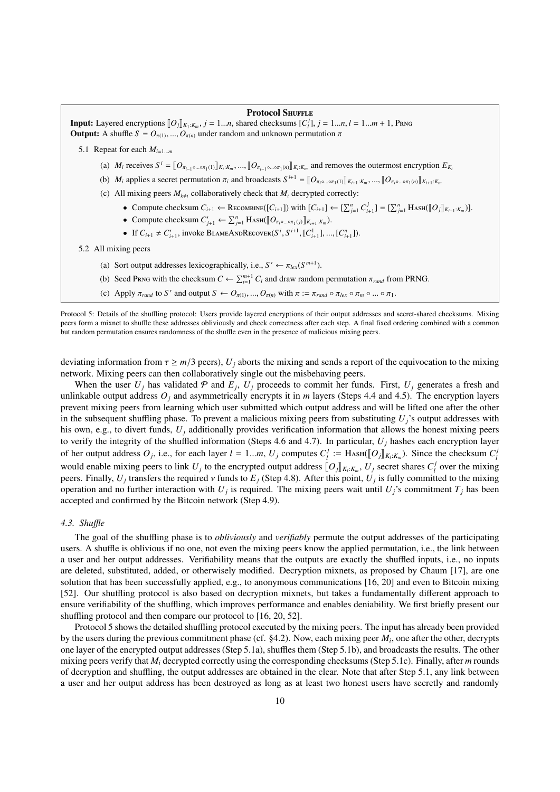#### Protocol Shuffle

**Input:** Layered encryptions  $[\![O_j]\!]_{K_1:K_m}$ ,  $j = 1...n$ , shared checksums  $[C_j^j]$ ,  $j = 1...n$ ,  $l = 1...m + 1$ , Programs Output: A shuffle  $S = O_m$ ,  $Q_{\text{max}}$  under random and unknown permutation  $\pi$ . **Output:** A shuffle  $S = O_{\pi(1)}, \ldots, O_{\pi(n)}$  under random and unknown permutation  $\pi$ 

- 5.1 Repeat for each  $M_{i=1...m}$ 
	- (a)  $M_i$  receives  $S^i = [\![O_{\pi_{i-1}\circ\ldots\circ\pi_1(1)}]\!]_{K_i:K_m}, ..., [\![O_{\pi_{i-1}\circ\ldots\circ\pi_1(n)}]\!]_{K_i:K_m}$  and removes the outermost encryption  $E_{K_i}$
	- (b)  $M_i$  applies a secret permutation  $\pi_i$  and broadcasts  $S^{i+1} = [\![O_{\pi_i \circ \ldots \circ \pi_1(1)}]\!]_{K_{i+1}:K_m}, ..., [\![O_{\pi_i \circ \ldots \circ \pi_1(n)}]\!]_{K_{i+1}:K_m}$
	- (c) All mixing peers  $M_{k\neq i}$  collaboratively check that  $M_i$  decrypted correctly:
		- Compute checksum  $C_{i+1} \leftarrow$  RECOMBINE([ $C_{i+1}$ ]) with  $[C_{i+1}] \leftarrow [\sum_{j=1}^{n} C_{i+1}^{j}] = [\sum_{j=1}^{n} \text{Hash}([\![O_j]\!]_{K_{i+1}:K_m})]$ .
		- Compute checksum  $C'_{j+1} \leftarrow \sum_{j=1}^{n} \text{Hash}(\llbracket O_{\pi_{j} \circ \dots \circ \pi_{1}(j)} \rrbracket_{K_{i+1}:K_{m}}).$
		- If  $C_{i+1} \neq C'_{i+1}$ , invoke BLAMEANDRECOVER( $S^i, S^{i+1}, [C^1_{i+1}], ..., [C^n_{i+1}])$ .

5.2 All mixing peers

- (a) Sort output addresses lexicographically, i.e.,  $S' \leftarrow \pi_{lex}(S^{m+1})$ .
- (b) Seed Propios with the checksum  $C \leftarrow \sum_{i=1}^{m+1} C_i$  and draw random permutation  $\pi_{rand}$  from PRNG.
- (c) Apply  $\pi_{rand}$  to *S'* and output  $S \leftarrow O_{\pi(1)}, ..., O_{\pi(n)}$  with  $\pi := \pi_{rand} \circ \pi_{lex} \circ \pi_m \circ ... \circ \pi_1$ .

Protocol 5: Details of the shuffling protocol: Users provide layered encryptions of their output addresses and secret-shared checksums. Mixing peers form a mixnet to shuffle these addresses obliviously and check correctness after each step. A final fixed ordering combined with a common but random permutation ensures randomness of the shuffle even in the presence of malicious mixing peers.

deviating information from  $\tau \ge m/3$  peers),  $U_j$  aborts the mixing and sends a report of the equivocation to the mixing network. Mixing peers can then collaboratively single out the misbehaving peers.

When the user  $U_j$  has validated  $P$  and  $E_j$ ,  $U_j$  proceeds to commit her funds. First,  $U_j$  generates a fresh and unlinkable output address  $O_i$  and asymmetrically encrypts it in  $m$  layers (Steps 4.4 and 4.5). The encryption layers prevent mixing peers from learning which user submitted which output address and will be lifted one after the other in the subsequent shuffling phase. To prevent a malicious mixing peers from substituting *Uj*'s output addresses with his own, e.g., to divert funds,  $U_i$  additionally provides verification information that allows the honest mixing peers to verify the integrity of the shuffled information (Steps 4.6 and 4.7). In particular,  $U_j$  hashes each encryption layer of her output address  $O_j$ , i.e., for each layer  $l = 1...m$ ,  $U_j$  computes  $C_j^j$ <br>usual double missing a sense to light  $U_j$  to the anomated output address  $\mathbb{R}$  $L_l^j := \text{Hash}([O_j]_{K_l:K_m})$ . Since the checksum  $C_l^j$ *l* would enable mixing peers to link  $U_j$  to the encrypted output address  $[\![O_j]\!]_{K_i,K_m}$ ,  $U_j$  secret shares  $C_j^j$ <br>peers. Finally,  $U_j$  transfers the required v funds to  $F_j$ . (Step 4.8). After this point,  $U_j$  is fully com  $\frac{d}{dt}$  over the mixing peers. Finally,  $U_j$  transfers the required v funds to  $E_j$  (Step 4.8). After this point,  $U_j$  is fully committed to the mixing<br>operation and no further interaction with  $U_j$  is required. The mixing peers wait until  $U_j$ ' operation and no further interaction with  $U_j$  is required. The mixing peers wait until  $U_j$ 's commitment  $T_j$  has been accepted and confirmed by the Bitcoin network (Step 4.9).

# *4.3. Shu*ffl*e*

The goal of the shuffling phase is to *obliviously* and *verifiably* permute the output addresses of the participating users. A shuffle is oblivious if no one, not even the mixing peers know the applied permutation, i.e., the link between a user and her output addresses. Verifiability means that the outputs are exactly the shuffled inputs, i.e., no inputs are deleted, substituted, added, or otherwisely modified. Decryption mixnets, as proposed by Chaum [17], are one solution that has been successfully applied, e.g., to anonymous communications [16, 20] and even to Bitcoin mixing [52]. Our shuffling protocol is also based on decryption mixnets, but takes a fundamentally different approach to ensure verifiability of the shuffling, which improves performance and enables deniability. We first briefly present our shuffling protocol and then compare our protocol to [16, 20, 52].

Protocol 5 shows the detailed shuffling protocol executed by the mixing peers. The input has already been provided by the users during the previous commitment phase (cf. §4.2). Now, each mixing peer *M<sup>i</sup>* , one after the other, decrypts one layer of the encrypted output addresses (Step 5.1a), shuffles them (Step 5.1b), and broadcasts the results. The other mixing peers verify that *M<sup>i</sup>* decrypted correctly using the corresponding checksums (Step 5.1c). Finally, after *m* rounds of decryption and shuffling, the output addresses are obtained in the clear. Note that after Step 5.1, any link between a user and her output address has been destroyed as long as at least two honest users have secretly and randomly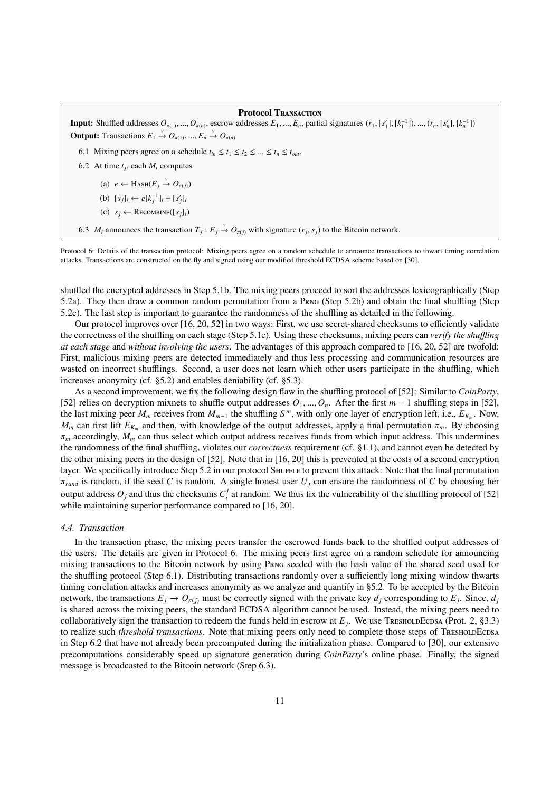**Input:** Shuffled addresses  $O_{\pi(1)}, ..., O_{\pi(n)}$ , escrow addresses  $E_1, ..., E_n$ , partial signatures  $(r_1, [s'_1], [k_1^{-1}]), ..., (r_n, [s'_n], [k_n^{-1}])$ **Output:** Transactions  $E_1 \stackrel{\rightarrow}{\rightarrow} O_{\pi(1)}, ..., E_n \stackrel{\rightarrow}{\rightarrow} O_{\pi(n)}$ 6.1 Mixing peers agree on a schedule  $t_{in} \leq t_1 \leq t_2 \leq ... \leq t_n \leq t_{out}$ . 6.2 At time  $t_j$ , each  $M_i$  computes (a)  $e \leftarrow \text{HASH}(E_j \stackrel{v}{\rightarrow} O_{\pi(j)})$ (b)  $[s_j]_i$  ←  $e[k_j^{-1}]_i + [s'_j]_i$ (c) *s<sup>j</sup>* ← Recombine([*sj*]*i*) 6.3 *M<sub>i</sub>* announces the transaction  $T_j: E_j \to O_{\pi(j)}$  with signature  $(r_j, s_j)$  to the Bitcoin network.

Protocol Transaction

Protocol 6: Details of the transaction protocol: Mixing peers agree on a random schedule to announce transactions to thwart timing correlation attacks. Transactions are constructed on the fly and signed using our modified threshold ECDSA scheme based on [30].

shuffled the encrypted addresses in Step 5.1b. The mixing peers proceed to sort the addresses lexicographically (Step 5.2a). They then draw a common random permutation from a Prng (Step 5.2b) and obtain the final shuffling (Step 5.2c). The last step is important to guarantee the randomness of the shuffling as detailed in the following.

Our protocol improves over [16, 20, 52] in two ways: First, we use secret-shared checksums to efficiently validate the correctness of the shuffling on each stage (Step 5.1c). Using these checksums, mixing peers can *verify the shu*ffl*ing at each stage* and *without involving the users*. The advantages of this approach compared to [16, 20, 52] are twofold: First, malicious mixing peers are detected immediately and thus less processing and communication resources are wasted on incorrect shufflings. Second, a user does not learn which other users participate in the shuffling, which increases anonymity (cf. §5.2) and enables deniability (cf. §5.3).

As a second improvement, we fix the following design flaw in the shuffling protocol of [52]: Similar to *CoinParty*, [52] relies on decryption mixnets to shuffle output addresses *<sup>O</sup>*<sup>1</sup>, ..., *<sup>O</sup>n*. After the first *<sup>m</sup>* <sup>−</sup> 1 shuffling steps in [52], the last mixing peer  $M_m$  receives from  $M_{m-1}$  the shuffling  $S^m$ , with only one layer of encryption left, i.e.,  $E_{K_m}$ . Now, *M<sub>m</sub>* can first lift  $E_{K_m}$  and then, with knowledge of the output addresses, apply a final permutation  $\pi_m$ . By choosing  $\pi$  accordingly *M*<sub>c</sub> can thus select which output address receives funds from which input add  $\pi_m$  accordingly,  $M_m$  can thus select which output address receives funds from which input address. This undermines the randomness of the final shuffling, violates our *correctness* requirement (cf. §1.1), and cannot even be detected by the other mixing peers in the design of [52]. Note that in [16, 20] this is prevented at the costs of a second encryption layer. We specifically introduce Step 5.2 in our protocol SHUFFLE to prevent this attack: Note that the final permutation  $\pi_{rand}$  is random, if the seed *C* is random. A single honest user  $U_j$  can ensure the randomness of *C* by choosing her output address  $O_j$  and thus the checksums  $C_i^j$  $\mathbf{F}_i$  at random. We thus fix the vulnerability of the shuffling protocol of [52] while maintaining superior performance compared to [16, 20].

# *4.4. Transaction*

In the transaction phase, the mixing peers transfer the escrowed funds back to the shuffled output addresses of the users. The details are given in Protocol 6. The mixing peers first agree on a random schedule for announcing mixing transactions to the Bitcoin network by using Prng seeded with the hash value of the shared seed used for the shuffling protocol (Step 6.1). Distributing transactions randomly over a sufficiently long mixing window thwarts timing correlation attacks and increases anonymity as we analyze and quantify in §5.2. To be accepted by the Bitcoin network, the transactions  $E_j \to O_{\pi(j)}$  must be correctly signed with the private key  $d_j$  corresponding to  $E_j$ . Since,  $d_j$ <br>is aboved somes the minima neare, the standard ECDSA algorithm sennat be used. Instead, the mini is shared across the mixing peers, the standard ECDSA algorithm cannot be used. Instead, the mixing peers need to collaboratively sign the transaction to redeem the funds held in escrow at  $E_j$ . We use TresholdEcdsa (Prot. 2, §3.3) to realize such *threshold transactions*. Note that mixing peers only need to complete those steps of TRESHOLDECDSA in Step 6.2 that have not already been precomputed during the initialization phase. Compared to [30], our extensive precomputations considerably speed up signature generation during *CoinParty*'s online phase. Finally, the signed message is broadcasted to the Bitcoin network (Step 6.3).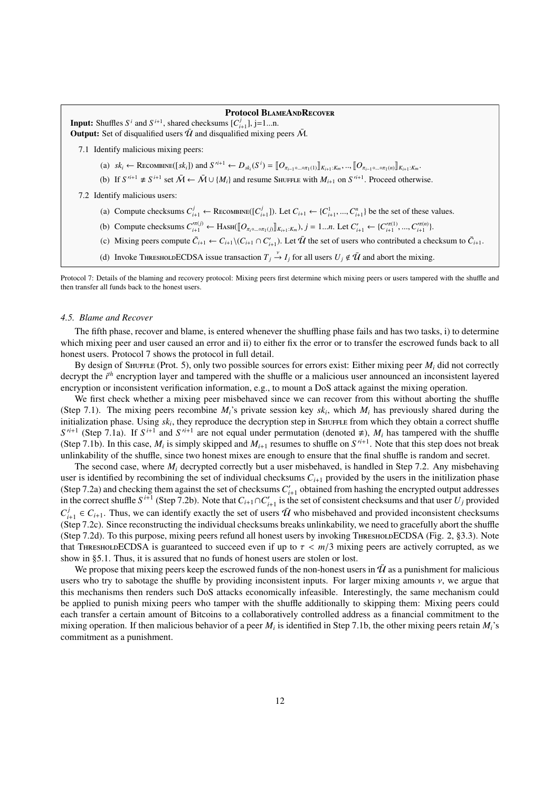Protocol BlameAndRecover

**Input:** Shuffles  $S^i$  and  $S^{i+1}$ , shared checksums  $[C^j_{i+1}]$ , j=1...n. **Output:** Set of disqualified users  $\bar{U}$  and disqualified mixing peers  $\bar{M}$ .

7.1 Identify malicious mixing peers:

(a)  $sk_i \leftarrow \text{RecomBINE}([sk_i])$  and  $S'^{i+1} \leftarrow D_{sk_i}(S^i) = [ [O_{\pi_{i-1}\circ\ldots\circ\pi_1(1)}]_{K_{i+1}:K_m}, ..., [O_{\pi_{i-1}\circ\ldots\circ\pi_1(n)}]_{K_{i+1}:K_m}$ 

(b) If  $S'^{i+1} \not\equiv S^{i+1}$  set  $\overline{M} \leftarrow \overline{M} \cup \{M_i\}$  and resume Shuffle with  $M_{i+1}$  on  $S'^{i+1}$ . Proceed otherwise.

7.2 Identify malicious users:

- (a) Compute checksums  $C_{i+1}^j \leftarrow \text{Recomm}([C_{i+1}^j])$ . Let  $C_{i+1} \leftarrow \{C_{i+1}^1, ..., C_{i+1}^n\}$  be the set of these values.
- (b) Compute checksums  $C_{i+1}^{(\pi(j)} \leftarrow \text{HasH}([\![O_{\pi_{i}\circ\ldots\circ\pi_{1}(j)}]\!]_{K_{i+1}:K_{m}}), j = 1...n$ . Let  $C'_{i+1} \leftarrow \{C_{i+1}^{(\pi(1)}, ..., C_{i+1}^{(\pi(n)})\}$ .
- (c) Mixing peers compute  $\bar{C}_{i+1} \leftarrow C_{i+1} \setminus (C_{i+1} \cap C'_{i+1})$ . Let  $\bar{\mathcal{U}}$  the set of users who contributed a checksum to  $\bar{C}_{i+1}$ .
- (d) Invoke THRESHOLDECDSA issue transaction  $T_j \stackrel{\nu}{\to} I_j$  for all users  $U_j \notin \bar{U}$  and abort the mixing.

Protocol 7: Details of the blaming and recovery protocol: Mixing peers first determine which mixing peers or users tampered with the shuffle and then transfer all funds back to the honest users.

# *4.5. Blame and Recover*

The fifth phase, recover and blame, is entered whenever the shuffling phase fails and has two tasks, i) to determine which mixing peer and user caused an error and ii) to either fix the error or to transfer the escrowed funds back to all honest users. Protocol 7 shows the protocol in full detail.

By design of SHUFFLE (Prot. 5), only two possible sources for errors exist: Either mixing peer  $M_i$  did not correctly decrypt the *i*<sup>th</sup> encryption layer and tampered with the shuffle or a malicious user announced an inconsistent layered encryption or inconsistent verification information, e.g., to mount a DoS attack against the mixing operation.

We first check whether a mixing peer misbehaved since we can recover from this without aborting the shuffle (Step 7.1). The mixing peers recombine  $M_i$ 's private session key  $sk_i$ , which  $M_i$  has previously shared during the initialization phase. Using  $sk_i$ , they reproduce the decryption step in SHUFFLE from which they obtain a correct shuffle  $S^{i+1}$  (Step 7.1a). If  $S^{i+1}$  and  $S^{i+1}$  are not equal under permutation (denoted  $\neq$ ),  $M_i$  has tampered with the shuffle (Step 7.1b). In this case,  $M_i$  is simply skipped and  $M_{i+1}$  resumes to shuffle on  $S'^{i+1}$ . Note that this step does not break unlinkability of the shuffle, since two honest mixes are enough to ensure that the final shuffle is random and secret.

The second case, where  $M_i$  decrypted correctly but a user misbehaved, is handled in Step 7.2. Any misbehaving user is identified by recombining the set of individual checksums  $C_{i+1}$  provided by the users in the initilization phase (Step 7.2a) and checking them against the set of checksums  $C'_{i+1}$  obtained from hashing the encrypted output addresses in the correct shuffle  $S^{i+1}$  (Step 7.2b). Note that  $C_{i+1} \cap C'_{i+1}$  is the set of consistent checksums and that user  $U_j$  provided  $C_i^j$  $i_{i+1}$  ∈  $C_{i+1}$ . Thus, we can identify exactly the set of users  $\bar{U}$  who misbehaved and provided inconsistent checksums (Step 7.2c). Since reconstructing the individual checksums breaks unlinkability, we need to gracefully abort the shuffle (Step 7.2d). To this purpose, mixing peers refund all honest users by invoking ThresholdECDSA (Fig. 2, §3.3). Note that ThresholdeCDSA is guaranteed to succeed even if up to  $\tau < m/3$  mixing peers are actively corrupted, as we show in §5.1. Thus, it is assured that no funds of honest users are stolen or lost.

We propose that mixing peers keep the escrowed funds of the non-honest users in  $\tilde{U}$  as a punishment for malicious users who try to sabotage the shuffle by providing inconsistent inputs. For larger mixing amounts ν, we argue that this mechanisms then renders such DoS attacks economically infeasible. Interestingly, the same mechanism could be applied to punish mixing peers who tamper with the shuffle additionally to skipping them: Mixing peers could each transfer a certain amount of Bitcoins to a collaboratively controlled address as a financial commitment to the mixing operation. If then malicious behavior of a peer  $M_i$  is identified in Step 7.1b, the other mixing peers retain  $M_i$ 's commitment as a punishment.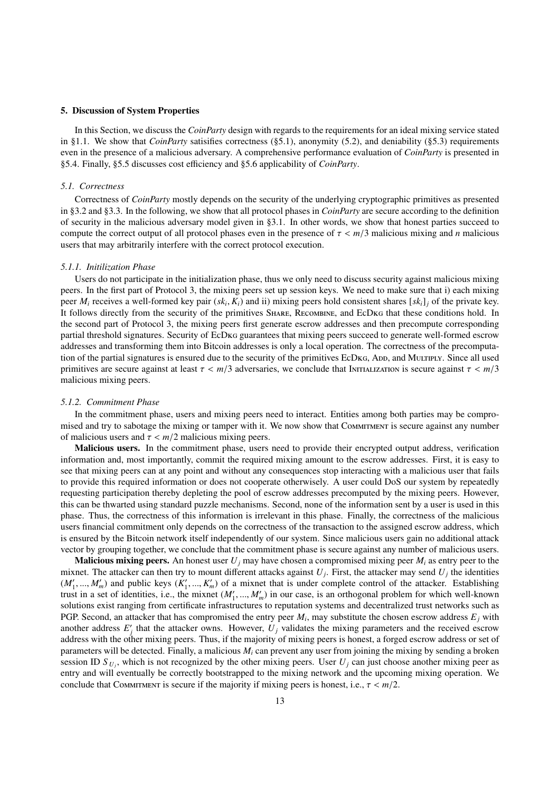# 5. Discussion of System Properties

In this Section, we discuss the *CoinParty* design with regards to the requirements for an ideal mixing service stated in §1.1. We show that *CoinParty* satisifies correctness (§5.1), anonymity (5.2), and deniability (§5.3) requirements even in the presence of a malicious adversary. A comprehensive performance evaluation of *CoinParty* is presented in §5.4. Finally, §5.5 discusses cost efficiency and §5.6 applicability of *CoinParty*.

### *5.1. Correctness*

Correctness of *CoinParty* mostly depends on the security of the underlying cryptographic primitives as presented in §3.2 and §3.3. In the following, we show that all protocol phases in *CoinParty* are secure according to the definition of security in the malicious adversary model given in §3.1. In other words, we show that honest parties succeed to compute the correct output of all protocol phases even in the presence of τ < *<sup>m</sup>*/3 malicious mixing and *<sup>n</sup>* malicious users that may arbitrarily interfere with the correct protocol execution.

# *5.1.1. Initilization Phase*

Users do not participate in the initialization phase, thus we only need to discuss security against malicious mixing peers. In the first part of Protocol 3, the mixing peers set up session keys. We need to make sure that i) each mixing peer  $M_i$  receives a well-formed key pair  $(sk_i, K_i)$  and ii) mixing peers hold consistent shares  $[sk_i]_j$  of the private key.<br>It follows directly from the security of the primitives SHARE, RECOMBINE, and ECDKG that these c It follows directly from the security of the primitives Share, Recombine, and EcDkg that these conditions hold. In the second part of Protocol 3, the mixing peers first generate escrow addresses and then precompute corresponding partial threshold signatures. Security of EcDkg guarantees that mixing peers succeed to generate well-formed escrow addresses and transforming them into Bitcoin addresses is only a local operation. The correctness of the precomputation of the partial signatures is ensured due to the security of the primitives EcDkg, App, and Multiply. Since all used primitives are secure against at least  $\tau < m/3$  adversaries, we conclude that INITIALIZATION is secure against  $\tau < m/3$ malicious mixing peers.

#### *5.1.2. Commitment Phase*

In the commitment phase, users and mixing peers need to interact. Entities among both parties may be compromised and try to sabotage the mixing or tamper with it. We now show that CommITMENT is secure against any number of malicious users and  $\tau < m/2$  malicious mixing peers.

Malicious users. In the commitment phase, users need to provide their encrypted output address, verification information and, most importantly, commit the required mixing amount to the escrow addresses. First, it is easy to see that mixing peers can at any point and without any consequences stop interacting with a malicious user that fails to provide this required information or does not cooperate otherwisely. A user could DoS our system by repeatedly requesting participation thereby depleting the pool of escrow addresses precomputed by the mixing peers. However, this can be thwarted using standard puzzle mechanisms. Second, none of the information sent by a user is used in this phase. Thus, the correctness of this information is irrelevant in this phase. Finally, the correctness of the malicious users financial commitment only depends on the correctness of the transaction to the assigned escrow address, which is ensured by the Bitcoin network itself independently of our system. Since malicious users gain no additional attack vector by grouping together, we conclude that the commitment phase is secure against any number of malicious users.

**Malicious mixing peers.** An honest user  $U_j$  may have chosen a compromised mixing peer  $M_i$  as entry peer to the mixnet. The attacker can then try to mount different attacks against  $U_j$ . First, the attacker may send  $U_j$  the identities  $(M'_1, ..., M'_m)$  and public keys  $(K'_1, ..., K'_m)$  of a mixnet that is under complete control of the attacker. Establishing<br>trust in a set of identities i.e. the mixnet  $(M' - M')$  in our case, is an orthogonal problem for which well-kn trust in a set of identities, i.e., the mixnet  $(M'_1, ..., M'_m)$  in our case, is an orthogonal problem for which well-known<br>solutions exist ranging from certificate infrastructures to reputation systems and decentralized trust solutions exist ranging from certificate infrastructures to reputation systems and decentralized trust networks such as PGP. Second, an attacker that has compromised the entry peer  $M_i$ , may substitute the chosen escrow address  $E_j$  with another address  $E'_{j}$  that the attacker owns. However,  $U_{j}$  validates the mixing parameters and the received escrow address with the other mixing peers. Thus, if the majority of mixing peers is honest, a forged escrow address or set of parameters will be detected. Finally, a malicious *M<sup>i</sup>* can prevent any user from joining the mixing by sending a broken session ID  $S_{U_j}$ , which is not recognized by the other mixing peers. User  $U_j$  can just choose another mixing peer as entry and will eventually be correctly bootstrapped to the mixing network and the upcoming mixing operation. We conclude that Commitment is secure if the majority if mixing peers is honest, i.e.,  $\tau < m/2$ .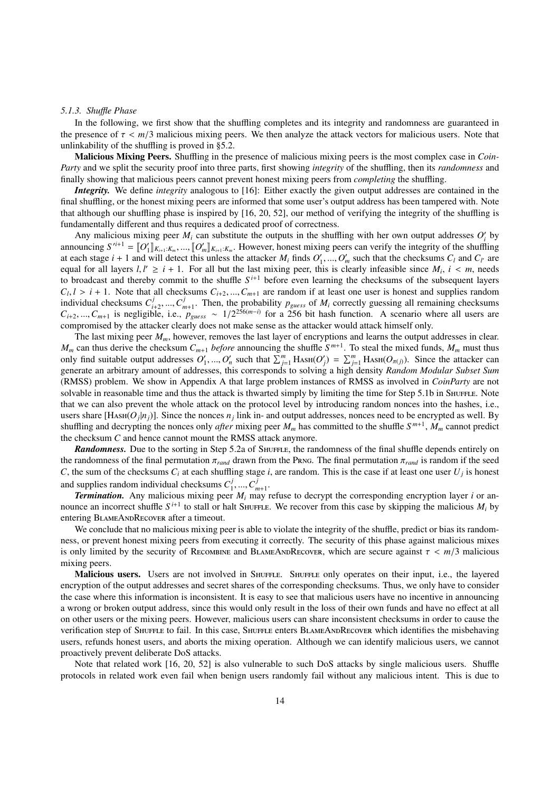#### *5.1.3. Shu*ffl*e Phase*

In the following, we first show that the shuffling completes and its integrity and randomness are guaranteed in the presence of  $\tau < m/3$  malicious mixing peers. We then analyze the attack vectors for malicious users. Note that unlinkability of the shuffling is proved in §5.2.

Malicious Mixing Peers. Shuffling in the presence of malicious mixing peers is the most complex case in *Coin-Party* and we split the security proof into three parts, first showing *integrity* of the shuffling, then its *randomness* and finally showing that malicious peers cannot prevent honest mixing peers from *completing* the shuffling.

*Integrity.* We define *integrity* analogous to [16]: Either exactly the given output addresses are contained in the final shuffling, or the honest mixing peers are informed that some user's output address has been tampered with. Note that although our shuffling phase is inspired by [16, 20, 52], our method of verifying the integrity of the shuffling is fundamentally different and thus requires a dedicated proof of correctness.

Any malicious mixing peer  $M_i$  can substitute the outputs in the shuffling with her own output addresses  $O_i'$  by announcing  $S^{i+1} = [O'_1]_{K_{i+1}:K_m}, ..., [O'_m]_{K_{i+1}:K_m}$ . However, honest mixing peers can verify the integrity of the shuffling<br>at each stage  $i + 1$  and will detect this unless the attacker M, finds  $O' = O'$  such that the chec at each stage  $i + 1$  and will detect this unless the attacker  $M_i$  finds  $O'_1, ..., O'_m$  such that the checksums  $C_l$  and  $C_l$  are equal for all layers  $l l' \geq i + 1$ . For all but the last mixing peer this is clearly infeasible equal for all layers  $l, l' \geq i + 1$ . For all but the last mixing peer, this is clearly infeasible since  $M_i, i < m$ , needs to broadcast and thereby commit to the shuffle  $S^{i+1}$  before even learning the checksums of the subs to broadcast and thereby commit to the shuffle  $S^{i+1}$  before even learning the checksums of the subsequent layers  $C_l, l > i + 1$ . Note that all checksums  $C_{i+2}, ..., C_{m+1}$  are random if at least one user is honest and supplies random individual checksums  $C^j$  . Then the probability  $p_i$  of M correctly quessing all remaining checksums individual checksums  $C_i^j$  $\frac{j}{i+2}$ , ...,  $C_n^j$ <br>ble i e  $m_{m+1}$ . Then, the probability  $p_{guess}$  of  $M_i$  correctly guessing all remaining checksums  $C_{i+2},..., C_{m+1}$  is negligible, i.e., *p<sub>auess</sub>* ∼ 1/2<sup>256(*m*−*i*) for a 256 bit hash function. A scenario where all users are compromised by the attacker clearly does not make sense as the attacker would attack himself o</sup> compromised by the attacker clearly does not make sense as the attacker would attack himself only.

The last mixing peer  $M_m$ , however, removes the last layer of encryptions and learns the output addresses in clear.  $M_m$  can thus derive the checksum  $C_{m+1}$  *before* announcing the shuffle  $S^{m+1}$ . To steal the mixed funds,  $M_m$  must thus only find suitable output addresses  $O'_1$ , ...,  $O'_n$  such that  $\sum_{j=1}^m$  HAsH $(O'_j) = \sum_{j=1}^m$  HAsH $(O_{\pi(j)})$ . Since the attacker can generate an arbitrary amount of addresses this corresponds to solving a high density *R* generate an arbitrary amount of addresses, this corresponds to solving a high density *Random Modular Subset Sum* (RMSS) problem. We show in Appendix A that large problem instances of RMSS as involved in *CoinParty* are not solvable in reasonable time and thus the attack is thwarted simply by limiting the time for Step 5.1b in Shuffle. Note that we can also prevent the whole attack on the protocol level by introducing random nonces into the hashes, i.e., users share [HASH( $O_j|n_j$ )]. Since the nonces  $n_j$  link in- and output addresses, nonces need to be encrypted as well. By shuffling and decrypting the nonces only *after* mixing peer  $M_m$  has committed to the shuffle  $S^{m+1}$ ,  $M_m$  cannot predict the checksum *C* and hence cannot mount the RMSS attack anymore.

*Randomness.* Due to the sorting in Step 5.2a of SHUFFLE, the randomness of the final shuffle depends entirely on the randomness of the final permutation <sup>π</sup>*rand* drawn from the Prng. The final permutation <sup>π</sup>*rand* is random if the seed *C*, the sum of the checksums  $C_i$  at each shuffling stage *i*, are random. This is the case if at least one user  $U_j$  is honest and supplies random individual checksums *C j*  $C_1^j, ..., C_n^j$ <br>r *M*, m *m*+1 .

**Termination.** Any malicious mixing peer  $M_i$  may refuse to decrypt the corresponding encryption layer *i* or announce an incorrect shuffle  $S^{i+1}$  to stall or halt Shuffle. We recover from this case by skipping the malicious  $M_i$  by entering BlameAndRecover after a timeout.

We conclude that no malicious mixing peer is able to violate the integrity of the shuffle, predict or bias its randomness, or prevent honest mixing peers from executing it correctly. The security of this phase against malicious mixes is only limited by the security of RECOMBINE and BLAMEANDRECOVER, which are secure against  $\tau < m/3$  malicious mixing peers.

Malicious users. Users are not involved in SHUFFLE. SHUFFLE only operates on their input, i.e., the layered encryption of the output addresses and secret shares of the corresponding checksums. Thus, we only have to consider the case where this information is inconsistent. It is easy to see that malicious users have no incentive in announcing a wrong or broken output address, since this would only result in the loss of their own funds and have no effect at all on other users or the mixing peers. However, malicious users can share inconsistent checksums in order to cause the verification step of SHUFFLE to fail. In this case, SHUFFLE enters BLAMEANDRECOVER which identifies the misbehaving users, refunds honest users, and aborts the mixing operation. Although we can identify malicious users, we cannot proactively prevent deliberate DoS attacks.

Note that related work [16, 20, 52] is also vulnerable to such DoS attacks by single malicious users. Shuffle protocols in related work even fail when benign users randomly fail without any malicious intent. This is due to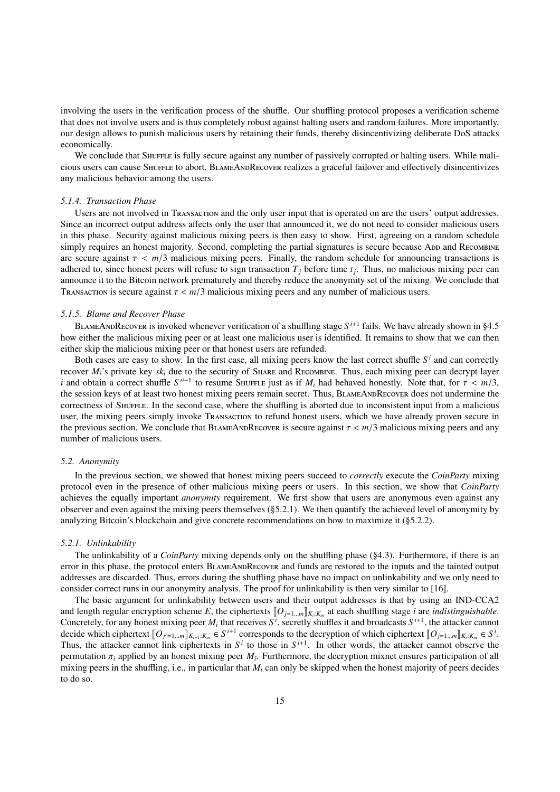involving the users in the verification process of the shuffle. Our shuffling protocol proposes a verification scheme that does not involve users and is thus completely robust against halting users and random failures. More importantly, our design allows to punish malicious users by retaining their funds, thereby disincentivizing deliberate DoS attacks economically.

We conclude that Shuffle is fully secure against any number of passively corrupted or halting users. While malicious users can cause Shuffle to abort, BlameAndRecover realizes a graceful failover and effectively disincentivizes any malicious behavior among the users.

# *5.1.4. Transaction Phase*

Users are not involved in Transaction and the only user input that is operated on are the users' output addresses. Since an incorrect output address affects only the user that announced it, we do not need to consider malicious users in this phase. Security against malicious mixing peers is then easy to show. First, agreeing on a random schedule simply requires an honest majority. Second, completing the partial signatures is secure because ADD and RECOMBINE are secure against  $\tau < m/3$  malicious mixing peers. Finally, the random schedule for announcing transactions is adhered to, since honest peers will refuse to sign transaction  $T_j$  before time  $t_j$ . Thus, no malicious mixing peer can announce it to the Bitcoin network prematurely and thereby reduce the anonymity set of the mixing. We conclude that TRANSACTION is secure against  $\tau < m/3$  malicious mixing peers and any number of malicious users.

# *5.1.5. Blame and Recover Phase*

BLAMEANDRECOVER is invoked whenever verification of a shuffling stage  $S^{i+1}$  fails. We have already shown in §4.5 how either the malicious mixing peer or at least one malicious user is identified. It remains to show that we can then either skip the malicious mixing peer or that honest users are refunded.

Both cases are easy to show. In the first case, all mixing peers know the last correct shuffle  $S<sup>i</sup>$  and can correctly recover  $M_i$ 's private key  $sk_i$  due to the security of Share and Recombine. Thus, each mixing peer can decrypt layer *i* and obtain a correct shuffle  $S^{i+1}$  to resume SHUFFLE just as if  $M_i$  had behaved honestly. Note that, for  $\tau < m/3$ , the session keys of at least two honest mixing neers remain secret. Thus BLAMPA ND RECOVER does no the session keys of at least two honest mixing peers remain secret. Thus, BlameAndRecover does not undermine the correctness of Shuffle. In the second case, where the shuffling is aborted due to inconsistent input from a malicious user, the mixing peers simply invoke Transaction to refund honest users, which we have already proven secure in the previous section. We conclude that BLAMEANDRECOVER is secure against  $\tau < m/3$  malicious mixing peers and any number of malicious users.

# *5.2. Anonymity*

In the previous section, we showed that honest mixing peers succeed to *correctly* execute the *CoinParty* mixing protocol even in the presence of other malicious mixing peers or users. In this section, we show that *CoinParty* achieves the equally important *anonymity* requirement. We first show that users are anonymous even against any observer and even against the mixing peers themselves (§5.2.1). We then quantify the achieved level of anonymity by analyzing Bitcoin's blockchain and give concrete recommendations on how to maximize it (§5.2.2).

## *5.2.1. Unlinkability*

The unlinkability of a *CoinParty* mixing depends only on the shuffling phase (§4.3). Furthermore, if there is an error in this phase, the protocol enters BlameAndRecover and funds are restored to the inputs and the tainted output addresses are discarded. Thus, errors during the shuffling phase have no impact on unlinkability and we only need to consider correct runs in our anonymity analysis. The proof for unlinkability is then very similar to [16].

The basic argument for unlinkability between users and their output addresses is that by using an IND-CCA2 and length regular encryption scheme *E*, the ciphertexts  $[\![O_{j=1...m}]\!]_{K_i:K_m}$  at each shuffling stage *i* are *indistinguishable*.<br>Concretely for any bonest mixing near *M* that receives  $S_i^i$  secretly shuffles it and Concretely, for any honest mixing peer  $M_i$  that receives  $S^i$ , secretly shuffles it and broadcasts  $S^{i+1}$ , the attacker cannot decide which ciphertext  $[\![O_{j'=1...m}]\!]_{K_{i+1}:K_m} \in S^{i+1}$  corresponds to the decryption of which ciphertext  $[\![O_{j=1...m}]\!]_{K_i:K_m} \in S^i$ .<br>Thus, the attacker cannot link ciphertexts in  $S^i$  to those in  $S^{i+1}$ . In other wor Thus, the attacker cannot link ciphertexts in  $S<sup>i</sup>$  to those in  $S<sup>i+1</sup>$ . In other words, the attacker cannot observe the permutation  $\pi_i$  applied by an honest mixing peer  $M_i$ . Furthermore, the decryption mixnet ensures participation of all<br>mixing peers in the shuffling i.e., in particular that M, can only be skinned when the honest majori mixing peers in the shuffling, i.e., in particular that  $M_i$  can only be skipped when the honest majority of peers decides to do so.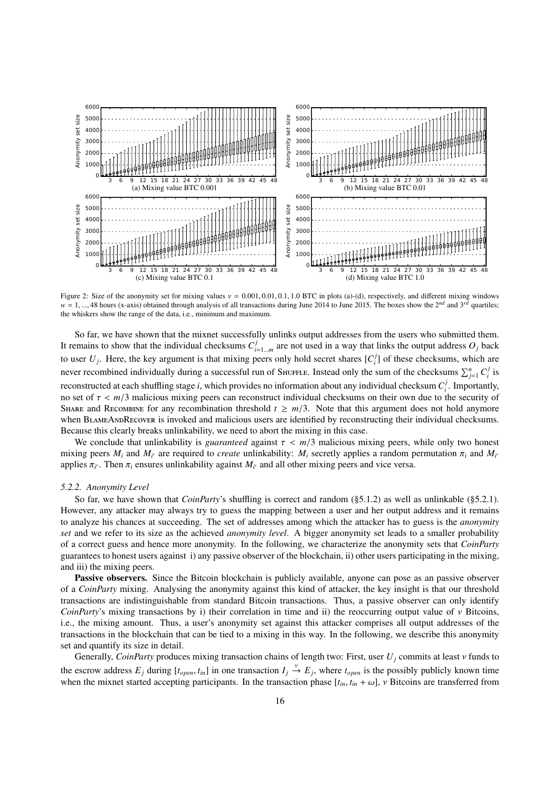

Figure 2: Size of the anonymity set for mixing values  $y = 0.001, 0.01, 0.01, 1.0$  BTC in plots (a)-(d), respectively, and different mixing windows  $w = 1, \dots, 48$  hours (x-axis) obtained through analysis of all transactions during June 2014 to June 2015. The boxes show the  $2^{nd}$  and  $3^{rd}$  quartiles; the whiskers show the range of the data, i.e., minimum and maximum.

So far, we have shown that the mixnet successfully unlinks output addresses from the users who submitted them. It remains to show that the individual checksums  $C_{i=1...m}^j$  are not used in a way that links the output address  $O_j$  back to user  $U_j$ . Here, the key argument is that mixing peers only hold secret shares  $[C_j]$  $\binom{1}{i}$  of these checksums, which are never recombined individually during a successful run of SHUFFLE. Instead only the sum of the checksums  $\sum_{j=1}^{n} C_j^j$  $\int_i^j$  is reconstructed at each shuffling stage *i*, which provides no information about any individual checksum *C j*  $\int_{i}^{j}$ . Importantly, no set of  $\tau < m/3$  malicious mixing peers can reconstruct individual checksums on their own due to the security of SHARE and RECOMBINE for any recombination threshold  $t \geq m/3$ . Note that this argument does not hold anymore when BLAMEANDRECOVER is invoked and malicious users are identified by reconstructing their individual checksums. Because this clearly breaks unlinkability, we need to abort the mixing in this case.

We conclude that unlinkability is *guaranteed* against  $\tau < m/3$  malicious mixing peers, while only two honest mixing peers  $M_i$  and  $M_{i'}$  are required to *create* unlinkability:  $M_i$  secretly applies a random permutation  $\pi_i$  and  $M_{i'}$ <br>applies  $\pi_i$ . Then  $\pi_i$  ensures unlinkability against  $M_i$  and all other mixing peers and applies  $\pi_{i'}$ . Then  $\pi_i$  ensures unlinkability against  $M_{i'}$  and all other mixing peers and vice versa.

#### *5.2.2. Anonymity Level*

So far, we have shown that *CoinParty*'s shuffling is correct and random (§5.1.2) as well as unlinkable (§5.2.1). However, any attacker may always try to guess the mapping between a user and her output address and it remains to analyze his chances at succeeding. The set of addresses among which the attacker has to guess is the *anonymity set* and we refer to its size as the achieved *anonymity level*. A bigger anonymity set leads to a smaller probability of a correct guess and hence more anonymity. In the following, we characterize the anonymity sets that *CoinParty* guarantees to honest users against i) any passive observer of the blockchain, ii) other users participating in the mixing, and iii) the mixing peers.

Passive observers. Since the Bitcoin blockchain is publicly available, anyone can pose as an passive observer of a *CoinParty* mixing. Analysing the anonymity against this kind of attacker, the key insight is that our threshold transactions are indistinguishable from standard Bitcoin transactions. Thus, a passive observer can only identify *CoinParty*'s mixing transactions by i) their correlation in time and ii) the reoccurring output value of ν Bitcoins, i.e., the mixing amount. Thus, a user's anonymity set against this attacker comprises all output addresses of the transactions in the blockchain that can be tied to a mixing in this way. In the following, we describe this anonymity set and quantify its size in detail.

Generally, *CoinParty* produces mixing transaction chains of length two: First, user *<sup>U</sup><sup>j</sup>* commits at least <sup>ν</sup> funds to the escrow address  $E_j$  during  $[t_{open}, t_{in}]$  in one transaction  $I_j \stackrel{\sim}{\rightarrow} E_j$ , where  $t_{open}$  is the possibly publicly known time<br>when the mixnet started accepting participants. In the transaction phase  $[t_1, t_2, t_3]$  w Bitc when the mixnet started accepting participants. In the transaction phase  $[t_{in}, t_{in} + \omega]$ ,  $\nu$  Bitcoins are transferred from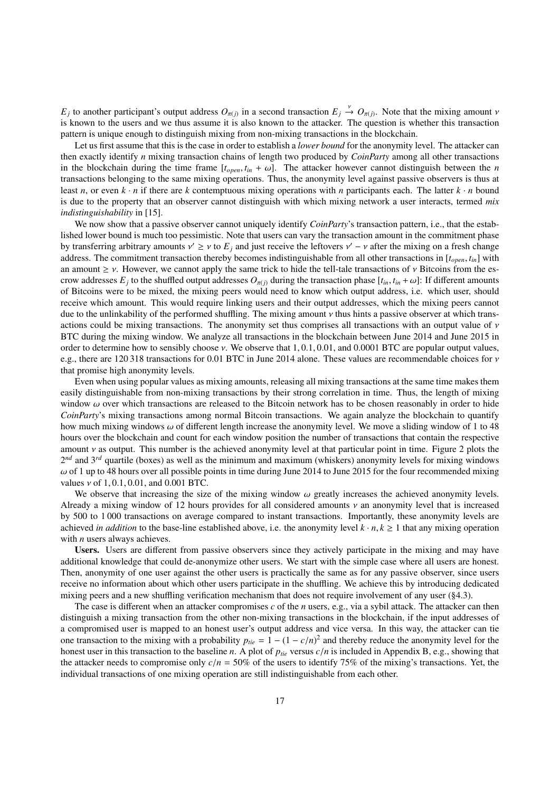*E*<sub>j</sub> to another participant's output address  $O_{\pi(j)}$  in a second transaction  $E_j \to O_{\pi(j)}$ . Note that the mixing amount  $\nu$ <br>is known to the users and we thus assume it is also known to the attacker. The question is whe is known to the users and we thus assume it is also known to the attacker. The question is whether this transaction pattern is unique enough to distinguish mixing from non-mixing transactions in the blockchain.

Let us first assume that this is the case in order to establish a *lower bound* for the anonymity level. The attacker can then exactly identify *n* mixing transaction chains of length two produced by *CoinParty* among all other transactions in the blockchain during the time frame  $[t_{open}, t_{in} + \omega]$ . The attacker however cannot distinguish between the *n* transactions belonging to the same mixing operations. Thus, the anonymity level against passive observers is thus at least *n*, or even  $k \cdot n$  if there are *k* contemptuous mixing operations with *n* participants each. The latter  $k \cdot n$  bound is due to the property that an observer cannot distinguish with which mixing network a user interacts, termed *mix indistinguishability* in [15].

We now show that a passive observer cannot uniquely identify *CoinParty*'s transaction pattern, i.e., that the established lower bound is much too pessimistic. Note that users can vary the transaction amount in the commitment phase by transferring arbitrary amounts  $v' \ge v$  to  $E_j$  and just receive the leftovers  $v' - v$  after the mixing on a fresh change<br>address. The commitment transaction thereby becomes indistinguishable from all other transactions address. The commitment transaction thereby becomes indistinguishable from all other transactions in [*topen*, *<sup>t</sup>in*] with an amount  $\geq \nu$ . However, we cannot apply the same trick to hide the tell-tale transactions of  $\nu$  Bitcoins from the escrow addresses  $E_j$  to the shuffled output addresses  $O_{\pi(j)}$  during the transaction phase  $[t_{in}, t_{in} + \omega]$ : If different amounts<br>of Bitcoins were to be mixed, the mixing peers would need to know which output address, i.e., of Bitcoins were to be mixed, the mixing peers would need to know which output address, i.e. which user, should receive which amount. This would require linking users and their output addresses, which the mixing peers cannot due to the unlinkability of the performed shuffling. The mixing amount  $\nu$  thus hints a passive observer at which transactions could be mixing transactions. The anonymity set thus comprises all transactions with an output value of  $\nu$ BTC during the mixing window. We analyze all transactions in the blockchain between June 2014 and June 2015 in order to determine how to sensibly choose  $\nu$ . We observe that 1, 0.1, 0.01, and 0.0001 BTC are popular output values, e.g., there are 120 318 transactions for 0.01 BTC in June 2014 alone. These values are recommendable choices for ν that promise high anonymity levels.

Even when using popular values as mixing amounts, releasing all mixing transactions at the same time makes them easily distinguishable from non-mixing transactions by their strong correlation in time. Thus, the length of mixing window  $\omega$  over which transactions are released to the Bitcoin network has to be chosen reasonably in order to hide *CoinParty*'s mixing transactions among normal Bitcoin transactions. We again analyze the blockchain to quantify how much mixing windows  $\omega$  of different length increase the anonymity level. We move a sliding window of 1 to 48 hours over the blockchain and count for each window position the number of transactions that contain the respective amount  $\nu$  as output. This number is the achieved anonymity level at that particular point in time. Figure 2 plots the 2<sup>nd</sup> and 3<sup>rd</sup> quartile (boxes) as well as the minimum and maximum (whiskers) anonymity levels for mixing windows  $\omega$  of 1 up to 48 hours over all possible points in time during June 2014 to June 2015 for the four recommended mixing values  $v$  of 1, 0.1, 0.01, and 0.001 BTC.

We observe that increasing the size of the mixing window  $\omega$  greatly increases the achieved anonymity levels. Already a mixing window of 12 hours provides for all considered amounts  $\nu$  an anonymity level that is increased by 500 to 1 000 transactions on average compared to instant transactions. Importantly, these anonymity levels are achieved *in addition* to the base-line established above, i.e. the anonymity level  $k \cdot n, k \ge 1$  that any mixing operation with *n* users always achieves.

Users. Users are different from passive observers since they actively participate in the mixing and may have additional knowledge that could de-anonymize other users. We start with the simple case where all users are honest. Then, anonymity of one user against the other users is practically the same as for any passive observer, since users receive no information about which other users participate in the shuffling. We achieve this by introducing dedicated mixing peers and a new shuffling verification mechanism that does not require involvement of any user (§4.3).

The case is different when an attacker compromises *c* of the *n* users, e.g., via a sybil attack. The attacker can then distinguish a mixing transaction from the other non-mixing transactions in the blockchain, if the input addresses of a compromised user is mapped to an honest user's output address and vice versa. In this way, the attacker can tie one transaction to the mixing with a probability  $p_{tie} = 1 - (1 - c/n)^2$  and thereby reduce the anonymity level for the honest user in this transaction to the baseline *n*. A plot of *n*, versus *c/n* is included in Appendix B, honest user in this transaction to the baseline *<sup>n</sup>*. A plot of *<sup>p</sup>tie* versus *<sup>c</sup>*/*<sup>n</sup>* is included in Appendix B, e.g., showing that the attacker needs to compromise only  $c/n = 50\%$  of the users to identify 75% of the mixing's transactions. Yet, the individual transactions of one mixing operation are still indistinguishable from each other.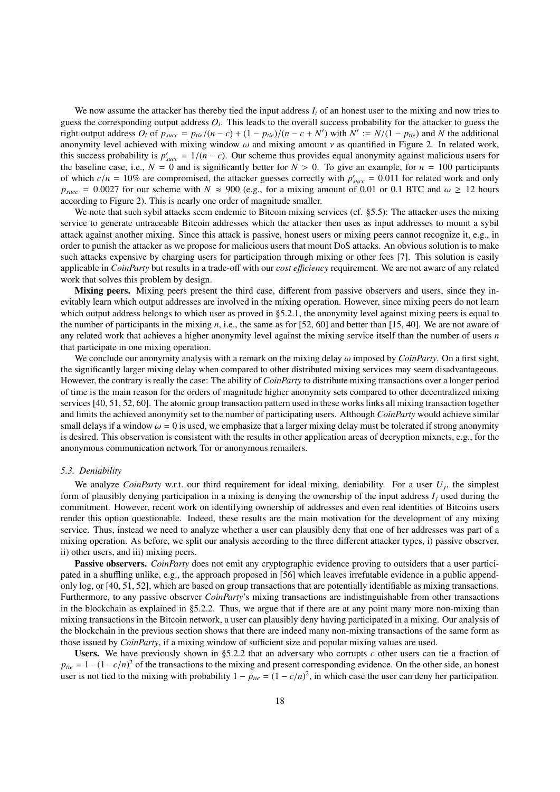We now assume the attacker has thereby tied the input address *I<sub>i</sub>* of an honest user to the mixing and now tries to guess the corresponding output address *O<sup>i</sup>* . This leads to the overall success probability for the attacker to guess the right output address  $O_i$  of  $p_{succ} = p_{tie}/(n-c) + (1-p_{tie})/(n-c+N')$  with  $N' := N/(1-p_{tie})$  and N the additional<br>apopymity level achieved with mixing window  $\omega$  and mixing amount y as quantified in Figure 2. In related work anonymity level achieved with mixing window  $\omega$  and mixing amount  $\nu$  as quantified in Figure 2. In related work, this success probability is  $p'_{succ} = 1/(n - c)$ . Our scheme thus provides equal anonymity against malicious users for the baseline case, i.e.  $N = 0$  and is significantly better for  $N > 0$ . To give an example, for  $n = 100$  par the baseline case, i.e.,  $N = 0$  and is significantly better for  $N > 0$ . To give an example, for  $n = 100$  participants of which  $c/n = 10\%$  are compromised, the attacker guesses correctly with  $p'_{succ} = 0.011$  for related work and only  $p = 0.0027$  for our scheme with  $N \approx 900$  (e.g. for a mixing amount of 0.01 or 0.1 BTC and  $\omega > 12$  hours  $p_{succ} = 0.0027$  for our scheme with  $N \approx 900$  (e.g., for a mixing amount of 0.01 or 0.1 BTC and  $\omega \ge 12$  hours according to Figure 2). This is nearly one order of magnitude smaller.

We note that such sybil attacks seem endemic to Bitcoin mixing services (cf. §5.5): The attacker uses the mixing service to generate untraceable Bitcoin addresses which the attacker then uses as input addresses to mount a sybil attack against another mixing. Since this attack is passive, honest users or mixing peers cannot recognize it, e.g., in order to punish the attacker as we propose for malicious users that mount DoS attacks. An obvious solution is to make such attacks expensive by charging users for participation through mixing or other fees [7]. This solution is easily applicable in *CoinParty* but results in a trade-off with our *cost e*ffi*ciency* requirement. We are not aware of any related work that solves this problem by design.

Mixing peers. Mixing peers present the third case, different from passive observers and users, since they inevitably learn which output addresses are involved in the mixing operation. However, since mixing peers do not learn which output address belongs to which user as proved in §5.2.1, the anonymity level against mixing peers is equal to the number of participants in the mixing *n*, i.e., the same as for [52, 60] and better than [15, 40]. We are not aware of any related work that achieves a higher anonymity level against the mixing service itself than the number of users *n* that participate in one mixing operation.

We conclude our anonymity analysis with a remark on the mixing delay  $\omega$  imposed by *CoinParty*. On a first sight, the significantly larger mixing delay when compared to other distributed mixing services may seem disadvantageous. However, the contrary is really the case: The ability of *CoinParty* to distribute mixing transactions over a longer period of time is the main reason for the orders of magnitude higher anonymity sets compared to other decentralized mixing services [40, 51, 52, 60]. The atomic group transaction pattern used in these works links all mixing transaction together and limits the achieved anonymity set to the number of participating users. Although *CoinParty* would achieve similar small delays if a window  $\omega = 0$  is used, we emphasize that a larger mixing delay must be tolerated if strong anonymity is desired. This observation is consistent with the results in other application areas of decryption mixnets, e.g., for the anonymous communication network Tor or anonymous remailers.

# *5.3. Deniability*

We analyze *CoinParty* w.r.t. our third requirement for ideal mixing, deniability. For a user  $U_j$ , the simplest form of plausibly denying participation in a mixing is denying the ownership of the input address *I<sup>j</sup>* used during the commitment. However, recent work on identifying ownership of addresses and even real identities of Bitcoins users render this option questionable. Indeed, these results are the main motivation for the development of any mixing service. Thus, instead we need to analyze whether a user can plausibly deny that one of her addresses was part of a mixing operation. As before, we split our analysis according to the three different attacker types, i) passive observer, ii) other users, and iii) mixing peers.

Passive observers. *CoinParty* does not emit any cryptographic evidence proving to outsiders that a user participated in a shuffling unlike, e.g., the approach proposed in [56] which leaves irrefutable evidence in a public appendonly log, or [40, 51, 52], which are based on group transactions that are potentially identifiable as mixing transactions. Furthermore, to any passive observer *CoinParty*'s mixing transactions are indistinguishable from other transactions in the blockchain as explained in §5.2.2. Thus, we argue that if there are at any point many more non-mixing than mixing transactions in the Bitcoin network, a user can plausibly deny having participated in a mixing. Our analysis of the blockchain in the previous section shows that there are indeed many non-mixing transactions of the same form as those issued by *CoinParty*, if a mixing window of sufficient size and popular mixing values are used.

Users. We have previously shown in §5.2.2 that an adversary who corrupts *c* other users can tie a fraction of  $p_{tie} = 1 - (1 - c/n)^2$  of the transactions to the mixing and present corresponding evidence. On the other side, an honest<br>user is not tied to the mixing with probability  $1 - n_1 = (1 - c/n)^2$  in which case the user can deny ber part user is not tied to the mixing with probability  $1 - p_{\text{tie}} = (1 - c/n)^2$ , in which case the user can deny her participation.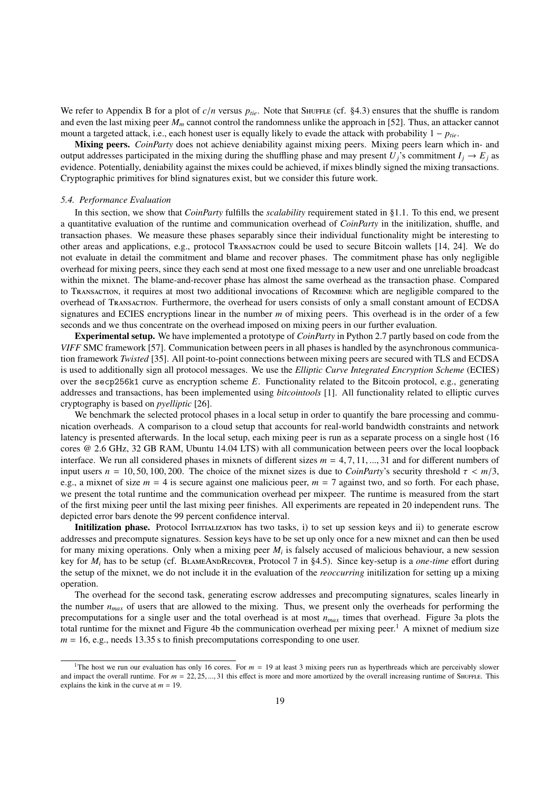We refer to Appendix B for a plot of  $c/n$  versus  $p_{tie}$ . Note that Shurfle (cf. §4.3) ensures that the shuffle is random and even the last mixing peer  $M_m$  cannot control the randomness unlike the approach in [52]. Thus, an attacker cannot mount a targeted attack, i.e., each honest user is equally likely to evade the attack with probability 1 − *ptie*.

Mixing peers. *CoinParty* does not achieve deniability against mixing peers. Mixing peers learn which in- and output addresses participated in the mixing during the shuffling phase and may present  $U_i$ <sup>'</sup>s commitment  $I_i \rightarrow E_j$  as evidence. Potentially, deniability against the mixes could be achieved, if mixes blindly signed the mixing transactions. Cryptographic primitives for blind signatures exist, but we consider this future work.

# *5.4. Performance Evaluation*

In this section, we show that *CoinParty* fulfills the *scalability* requirement stated in §1.1. To this end, we present a quantitative evaluation of the runtime and communication overhead of *CoinParty* in the initilization, shuffle, and transaction phases. We measure these phases separably since their individual functionality might be interesting to other areas and applications, e.g., protocol Transaction could be used to secure Bitcoin wallets [14, 24]. We do not evaluate in detail the commitment and blame and recover phases. The commitment phase has only negligible overhead for mixing peers, since they each send at most one fixed message to a new user and one unreliable broadcast within the mixnet. The blame-and-recover phase has almost the same overhead as the transaction phase. Compared to Transaction, it requires at most two additional invocations of Recombine which are negligible compared to the overhead of Transaction. Furthermore, the overhead for users consists of only a small constant amount of ECDSA signatures and ECIES encryptions linear in the number *m* of mixing peers. This overhead is in the order of a few seconds and we thus concentrate on the overhead imposed on mixing peers in our further evaluation.

Experimental setup. We have implemented a prototype of *CoinParty* in Python 2.7 partly based on code from the *VIFF* SMC framework [57]. Communication between peers in all phases is handled by the asynchronous communication framework *Twisted* [35]. All point-to-point connections between mixing peers are secured with TLS and ECDSA is used to additionally sign all protocol messages. We use the *Elliptic Curve Integrated Encryption Scheme* (ECIES) over the secp256k1 curve as encryption scheme *E*. Functionality related to the Bitcoin protocol, e.g., generating addresses and transactions, has been implemented using *bitcointools* [1]. All functionality related to elliptic curves cryptography is based on *pyelliptic* [26].

We benchmark the selected protocol phases in a local setup in order to quantify the bare processing and communication overheads. A comparison to a cloud setup that accounts for real-world bandwidth constraints and network latency is presented afterwards. In the local setup, each mixing peer is run as a separate process on a single host (16) cores @ 2.6 GHz, 32 GB RAM, Ubuntu 14.04 LTS) with all communication between peers over the local loopback interface. We run all considered phases in mixnets of different sizes  $m = 4, 7, 11, \dots, 31$  and for different numbers of input users  $n = 10, 50, 100, 200$ . The choice of the mixnet sizes is due to *CoinParty*'s security threshold  $\tau < m/3$ , e.g., a mixnet of size  $m = 4$  is secure against one malicious peer,  $m = 7$  against two, and so forth. For each phase, we present the total runtime and the communication overhead per mixpeer. The runtime is measured from the start of the first mixing peer until the last mixing peer finishes. All experiments are repeated in 20 independent runs. The depicted error bars denote the 99 percent confidence interval.

Initilization phase. Protocol Initialization has two tasks, i) to set up session keys and ii) to generate escrow addresses and precompute signatures. Session keys have to be set up only once for a new mixnet and can then be used for many mixing operations. Only when a mixing peer *M<sup>i</sup>* is falsely accused of malicious behaviour, a new session key for *M<sup>i</sup>* has to be setup (cf. BlameAndRecover, Protocol 7 in §4.5). Since key-setup is a *one-time* effort during the setup of the mixnet, we do not include it in the evaluation of the *reoccurring* initilization for setting up a mixing operation.

The overhead for the second task, generating escrow addresses and precomputing signatures, scales linearly in the number  $n_{max}$  of users that are allowed to the mixing. Thus, we present only the overheads for performing the precomputations for a single user and the total overhead is at most *nmax* times that overhead. Figure 3a plots the total runtime for the mixnet and Figure 4b the communication overhead per mixing peer.<sup>1</sup> A mixnet of medium size  $m = 16$ , e.g., needs 13.35 s to finish precomputations corresponding to one user.

<sup>&</sup>lt;sup>1</sup>The host we run our evaluation has only 16 cores. For  $m = 19$  at least 3 mixing peers run as hyperthreads which are perceivably slower and impact the overall runtime. For  $m = 22, 25, ..., 31$  this effect is more and more amortized by the overall increasing runtime of SHUFFLE. This explains the kink in the curve at *m* = 19.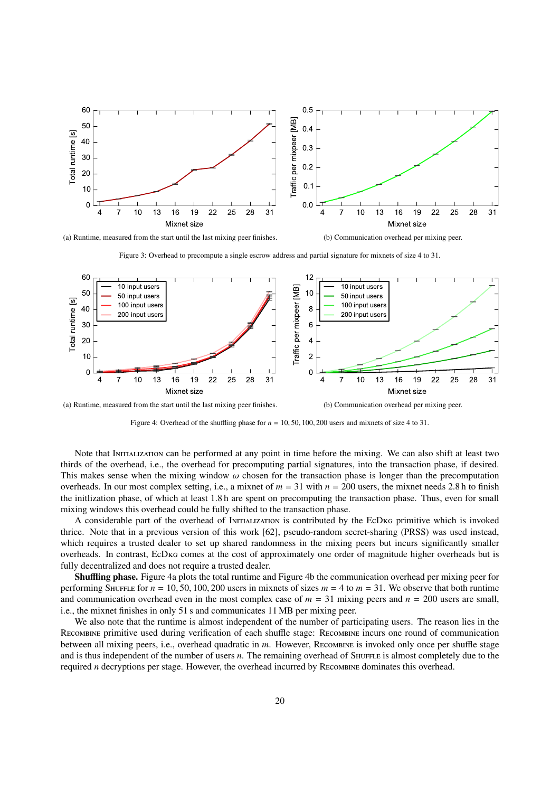

(a) Runtime, measured from the start until the last mixing peer finishes.

(b) Communication overhead per mixing peer.

Figure 3: Overhead to precompute a single escrow address and partial signature for mixnets of size 4 to 31.



Figure 4: Overhead of the shuffling phase for  $n = 10, 50, 100, 200$  users and mixnets of size 4 to 31.

Note that Initialization can be performed at any point in time before the mixing. We can also shift at least two thirds of the overhead, i.e., the overhead for precomputing partial signatures, into the transaction phase, if desired. This makes sense when the mixing window  $\omega$  chosen for the transaction phase is longer than the precomputation overheads. In our most complex setting, i.e., a mixnet of  $m = 31$  with  $n = 200$  users, the mixnet needs 2.8 h to finish the initlization phase, of which at least 1.8 h are spent on precomputing the transaction phase. Thus, even for small mixing windows this overhead could be fully shifted to the transaction phase.

A considerable part of the overhead of INITIALIZATION is contributed by the EcDKG primitive which is invoked thrice. Note that in a previous version of this work [62], pseudo-random secret-sharing (PRSS) was used instead, which requires a trusted dealer to set up shared randomness in the mixing peers but incurs significantly smaller overheads. In contrast, EcDkg comes at the cost of approximately one order of magnitude higher overheads but is fully decentralized and does not require a trusted dealer.

Shuffling phase. Figure 4a plots the total runtime and Figure 4b the communication overhead per mixing peer for performing SHUFFLE for  $n = 10, 50, 100, 200$  users in mixnets of sizes  $m = 4$  to  $m = 31$ . We observe that both runtime and communication overhead even in the most complex case of  $m = 31$  mixing peers and  $n = 200$  users are small, i.e., the mixnet finishes in only 51 s and communicates 11 MB per mixing peer.

We also note that the runtime is almost independent of the number of participating users. The reason lies in the RECOMBINE primitive used during verification of each shuffle stage: RECOMBINE incurs one round of communication between all mixing peers, i.e., overhead quadratic in *m*. However, Recombine is invoked only once per shuffle stage and is thus independent of the number of users *n*. The remaining overhead of SHUFFLE is almost completely due to the required *n* decryptions per stage. However, the overhead incurred by RECOMBINE dominates this overhead.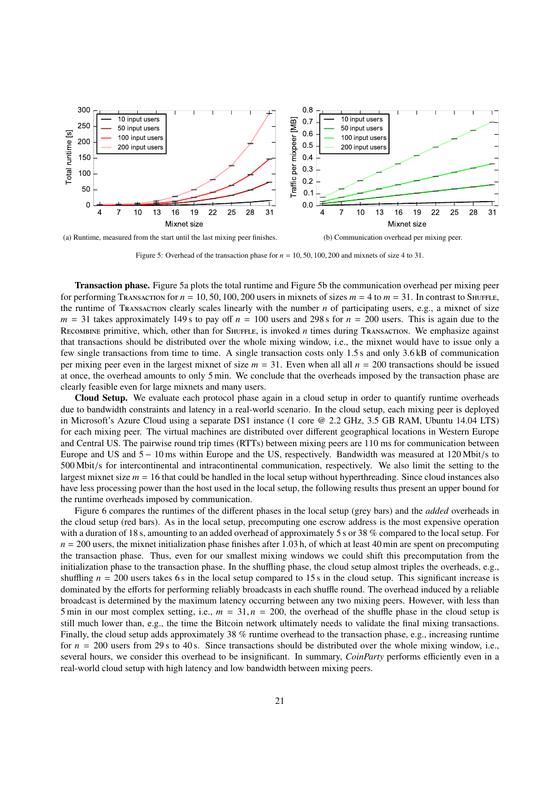

Figure 5: Overhead of the transaction phase for  $n = 10, 50, 100, 200$  and mixnets of size 4 to 31.

Transaction phase. Figure 5a plots the total runtime and Figure 5b the communication overhead per mixing peer for performing Transaction for  $n = 10, 50, 100, 200$  users in mixnets of sizes  $m = 4$  to  $m = 31$ . In contrast to Shuffle, the runtime of Transaction clearly scales linearly with the number *n* of participating users, e.g., a mixnet of size  $m = 31$  takes approximately 149 s to pay off  $n = 100$  users and 298 s for  $n = 200$  users. This is again due to the RECOMBINE primitive, which, other than for SHUFFLE, is invoked *n* times during TRANSACTION. We emphasize against that transactions should be distributed over the whole mixing window, i.e., the mixnet would have to issue only a few single transactions from time to time. A single transaction costs only 1.5 s and only 3.6 kB of communication per mixing peer even in the largest mixnet of size  $m = 31$ . Even when all all  $n = 200$  transactions should be issued at once, the overhead amounts to only 5 min. We conclude that the overheads imposed by the transaction phase are clearly feasible even for large mixnets and many users.

Cloud Setup. We evaluate each protocol phase again in a cloud setup in order to quantify runtime overheads due to bandwidth constraints and latency in a real-world scenario. In the cloud setup, each mixing peer is deployed in Microsoft's Azure Cloud using a separate DS1 instance (1 core @ 2.2 GHz, 3.5 GB RAM, Ubuntu 14.04 LTS) for each mixing peer. The virtual machines are distributed over different geographical locations in Western Europe and Central US. The pairwise round trip times (RTTs) between mixing peers are 110 ms for communication between Europe and US and 5 <sup>−</sup> 10 ms within Europe and the US, respectively. Bandwidth was measured at 120 Mbit/s to 500 Mbit/s for intercontinental and intracontinental communication, respectively. We also limit the setting to the largest mixnet size  $m = 16$  that could be handled in the local setup without hyperthreading. Since cloud instances also have less processing power than the host used in the local setup, the following results thus present an upper bound for the runtime overheads imposed by communication.

Figure 6 compares the runtimes of the different phases in the local setup (grey bars) and the *added* overheads in the cloud setup (red bars). As in the local setup, precomputing one escrow address is the most expensive operation with a duration of 18 s, amounting to an added overhead of approximately 5 s or 38 % compared to the local setup. For  $n = 200$  users, the mixnet initialization phase finishes after 1.03 h, of which at least 40 min are spent on precomputing the transaction phase. Thus, even for our smallest mixing windows we could shift this precomputation from the initialization phase to the transaction phase. In the shuffling phase, the cloud setup almost triples the overheads, e.g., shuffling  $n = 200$  users takes 6 s in the local setup compared to 15 s in the cloud setup. This significant increase is dominated by the efforts for performing reliably broadcasts in each shuffle round. The overhead induced by a reliable broadcast is determined by the maximum latency occurring between any two mixing peers. However, with less than 5 min in our most complex setting, i.e.,  $m = 31$ ,  $n = 200$ , the overhead of the shuffle phase in the cloud setup is still much lower than, e.g., the time the Bitcoin network ultimately needs to validate the final mixing transactions. Finally, the cloud setup adds approximately 38 % runtime overhead to the transaction phase, e.g., increasing runtime for  $n = 200$  users from 29 s to 40 s. Since transactions should be distributed over the whole mixing window, i.e., several hours, we consider this overhead to be insignificant. In summary, *CoinParty* performs efficiently even in a real-world cloud setup with high latency and low bandwidth between mixing peers.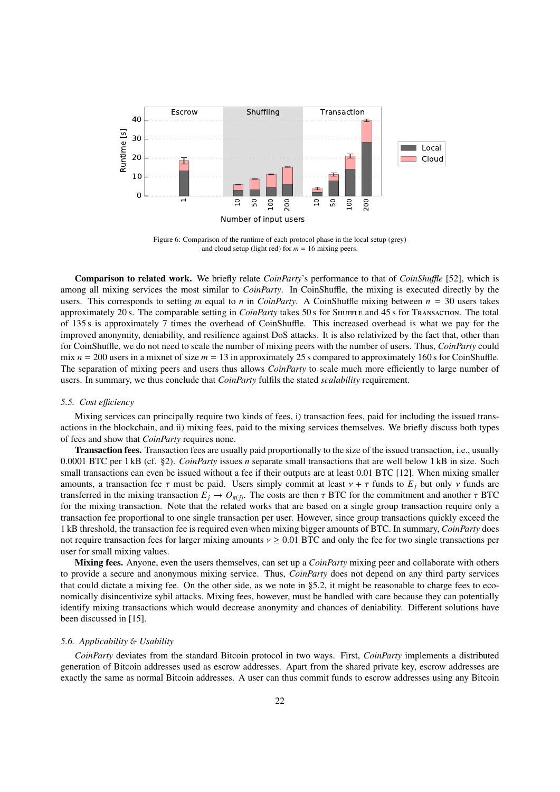

Figure 6: Comparison of the runtime of each protocol phase in the local setup (grey) and cloud setup (light red) for  $m = 16$  mixing peers.

Comparison to related work. We briefly relate *CoinParty*'s performance to that of *CoinShu*ffl*e* [52], which is among all mixing services the most similar to *CoinParty*. In CoinShuffle, the mixing is executed directly by the users. This corresponds to setting *m* equal to *n* in *CoinParty*. A CoinShuffle mixing between  $n = 30$  users takes approximately 20 s. The comparable setting in *CoinParty* takes 50 s for SHUFFLE and 45 s for TRANSACTION. The total of 135 s is approximately 7 times the overhead of CoinShuffle. This increased overhead is what we pay for the improved anonymity, deniability, and resilience against DoS attacks. It is also relativized by the fact that, other than for CoinShuffle, we do not need to scale the number of mixing peers with the number of users. Thus, *CoinParty* could mix  $n = 200$  users in a mixnet of size  $m = 13$  in approximately 25 s compared to approximately 160 s for CoinShuffle. The separation of mixing peers and users thus allows *CoinParty* to scale much more efficiently to large number of users. In summary, we thus conclude that *CoinParty* fulfils the stated *scalability* requirement.

## *5.5. Cost e*ffi*ciency*

Mixing services can principally require two kinds of fees, i) transaction fees, paid for including the issued transactions in the blockchain, and ii) mixing fees, paid to the mixing services themselves. We briefly discuss both types of fees and show that *CoinParty* requires none.

Transaction fees. Transaction fees are usually paid proportionally to the size of the issued transaction, i.e., usually <sup>0</sup>.0001 BTC per 1 kB (cf. §2). *CoinParty* issues *<sup>n</sup>* separate small transactions that are well below 1 kB in size. Such small transactions can even be issued without a fee if their outputs are at least 0.01 BTC [12]. When mixing smaller amounts, a transaction fee  $\tau$  must be paid. Users simply commit at least  $v + \tau$  funds to  $E_j$  but only  $\nu$  funds are transferred in the mixing transaction  $E_j \to O_{\pi(j)}$ . The costs are then τ BTC for the commitment and another τ BTC for the mixing transaction. Note that the related works that are based on a single group transaction requi for the mixing transaction. Note that the related works that are based on a single group transaction require only a transaction fee proportional to one single transaction per user. However, since group transactions quickly exceed the 1 kB threshold, the transaction fee is required even when mixing bigger amounts of BTC. In summary, *CoinParty* does not require transaction fees for larger mixing amounts  $v \ge 0.01$  BTC and only the fee for two single transactions per user for small mixing values.

Mixing fees. Anyone, even the users themselves, can set up a *CoinParty* mixing peer and collaborate with others to provide a secure and anonymous mixing service. Thus, *CoinParty* does not depend on any third party services that could dictate a mixing fee. On the other side, as we note in §5.2, it might be reasonable to charge fees to economically disincentivize sybil attacks. Mixing fees, however, must be handled with care because they can potentially identify mixing transactions which would decrease anonymity and chances of deniability. Different solutions have been discussed in [15].

# *5.6. Applicability* & *Usability*

*CoinParty* deviates from the standard Bitcoin protocol in two ways. First, *CoinParty* implements a distributed generation of Bitcoin addresses used as escrow addresses. Apart from the shared private key, escrow addresses are exactly the same as normal Bitcoin addresses. A user can thus commit funds to escrow addresses using any Bitcoin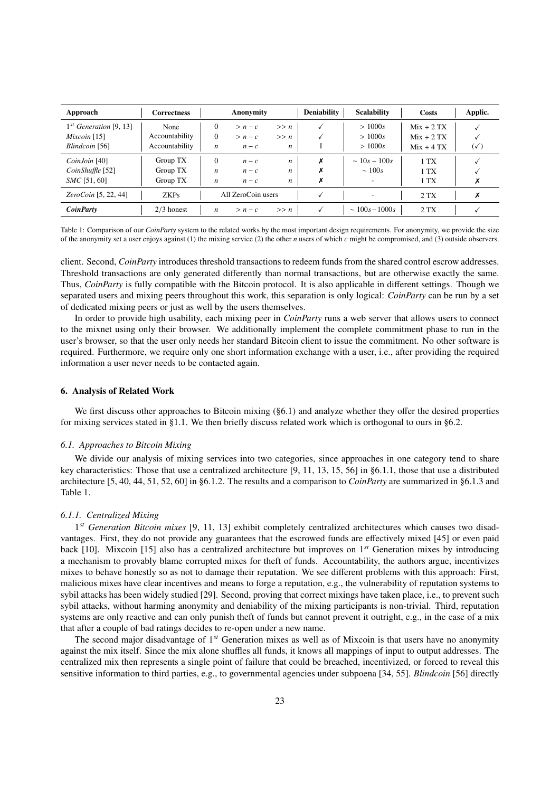| Approach                 | <b>Correctness</b> |                    | Anonymity |                  | <b>Deniability</b> | <b>Scalability</b>  | Costs        | Applic.        |
|--------------------------|--------------------|--------------------|-----------|------------------|--------------------|---------------------|--------------|----------------|
| $1st Generation$ [9, 13] | None               | $\Omega$           | $> n - c$ | >> n             |                    | >1000s              | $Mix + 2 TX$ |                |
| Mixcoin [15]             | Accountability     | $\overline{0}$     | $> n - c$ | >> n             |                    | >1000s              | $Mix + 2 TX$ |                |
| Blindcoin [56]           | Accountability     | n                  | $n - c$   | $\boldsymbol{n}$ |                    | >1000s              | $Mix + 4 TX$ | $(\checkmark)$ |
| CoinJoin [40]            | Group TX           | $\theta$           | $n - c$   | $\boldsymbol{n}$ | х                  | $\sim 10s - 100s$   | 1TX          |                |
| $CoinShuffle$ [52]       | Group TX           | n                  | $n - c$   | n                | х                  | $\sim 100s$         | 1TX          |                |
| <i>SMC</i> [51, 60]      | Group TX           | $\boldsymbol{n}$   | $n - c$   | $\boldsymbol{n}$ | Х                  | ۰                   | 1TX          |                |
| ZeroCoin [5, 22, 44]     | <b>ZKPs</b>        | All ZeroCoin users |           |                  | √                  |                     | 2TX          |                |
| <b>CoinParty</b>         | $2/3$ honest       | $\boldsymbol{n}$   | $> n - c$ | >> n             | √                  | $\sim 100s - 1000s$ | 2TX          |                |

Table 1: Comparison of our *CoinParty* system to the related works by the most important design requirements. For anonymity, we provide the size of the anonymity set a user enjoys against (1) the mixing service (2) the other *n* users of which *c* might be compromised, and (3) outside observers.

client. Second, *CoinParty* introduces threshold transactions to redeem funds from the shared control escrow addresses. Threshold transactions are only generated differently than normal transactions, but are otherwise exactly the same. Thus, *CoinParty* is fully compatible with the Bitcoin protocol. It is also applicable in different settings. Though we separated users and mixing peers throughout this work, this separation is only logical: *CoinParty* can be run by a set of dedicated mixing peers or just as well by the users themselves.

In order to provide high usability, each mixing peer in *CoinParty* runs a web server that allows users to connect to the mixnet using only their browser. We additionally implement the complete commitment phase to run in the user's browser, so that the user only needs her standard Bitcoin client to issue the commitment. No other software is required. Furthermore, we require only one short information exchange with a user, i.e., after providing the required information a user never needs to be contacted again.

# 6. Analysis of Related Work

We first discuss other approaches to Bitcoin mixing (§6.1) and analyze whether they offer the desired properties for mixing services stated in §1.1. We then briefly discuss related work which is orthogonal to ours in §6.2.

#### *6.1. Approaches to Bitcoin Mixing*

We divide our analysis of mixing services into two categories, since approaches in one category tend to share key characteristics: Those that use a centralized architecture [9, 11, 13, 15, 56] in §6.1.1, those that use a distributed architecture [5, 40, 44, 51, 52, 60] in §6.1.2. The results and a comparison to *CoinParty* are summarized in §6.1.3 and Table 1.

# *6.1.1. Centralized Mixing*

1<sup>st</sup> Generation Bitcoin mixes [9, 11, 13] exhibit completely centralized architectures which causes two disadvantages. First, they do not provide any guarantees that the escrowed funds are effectively mixed [45] or even paid back [10]. Mixcoin [15] also has a centralized architecture but improves on 1*st* Generation mixes by introducing a mechanism to provably blame corrupted mixes for theft of funds. Accountability, the authors argue, incentivizes mixes to behave honestly so as not to damage their reputation. We see different problems with this approach: First, malicious mixes have clear incentives and means to forge a reputation, e.g., the vulnerability of reputation systems to sybil attacks has been widely studied [29]. Second, proving that correct mixings have taken place, i.e., to prevent such sybil attacks, without harming anonymity and deniability of the mixing participants is non-trivial. Third, reputation systems are only reactive and can only punish theft of funds but cannot prevent it outright, e.g., in the case of a mix that after a couple of bad ratings decides to re-open under a new name.

The second major disadvantage of 1*st* Generation mixes as well as of Mixcoin is that users have no anonymity against the mix itself. Since the mix alone shuffles all funds, it knows all mappings of input to output addresses. The centralized mix then represents a single point of failure that could be breached, incentivized, or forced to reveal this sensitive information to third parties, e.g., to governmental agencies under subpoena [34, 55]. *Blindcoin* [56] directly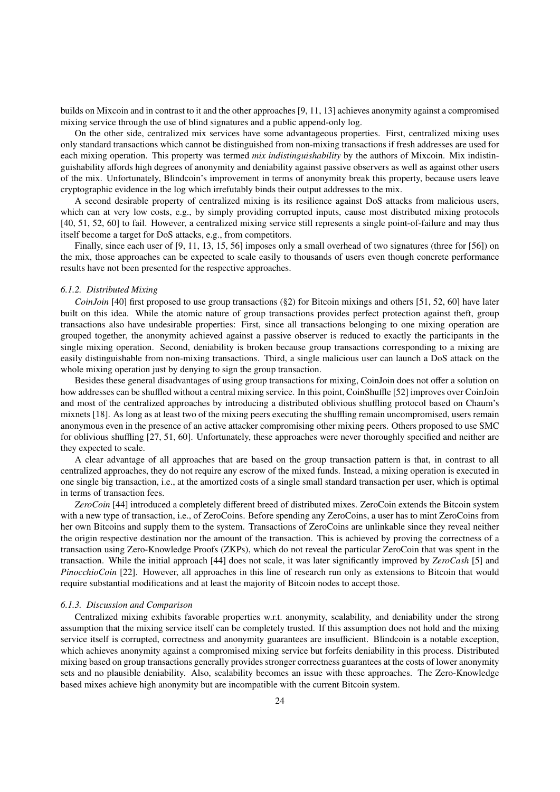builds on Mixcoin and in contrast to it and the other approaches [9, 11, 13] achieves anonymity against a compromised mixing service through the use of blind signatures and a public append-only log.

On the other side, centralized mix services have some advantageous properties. First, centralized mixing uses only standard transactions which cannot be distinguished from non-mixing transactions if fresh addresses are used for each mixing operation. This property was termed *mix indistinguishability* by the authors of Mixcoin. Mix indistinguishability affords high degrees of anonymity and deniability against passive observers as well as against other users of the mix. Unfortunately, Blindcoin's improvement in terms of anonymity break this property, because users leave cryptographic evidence in the log which irrefutably binds their output addresses to the mix.

A second desirable property of centralized mixing is its resilience against DoS attacks from malicious users, which can at very low costs, e.g., by simply providing corrupted inputs, cause most distributed mixing protocols [40, 51, 52, 60] to fail. However, a centralized mixing service still represents a single point-of-failure and may thus itself become a target for DoS attacks, e.g., from competitors.

Finally, since each user of [9, 11, 13, 15, 56] imposes only a small overhead of two signatures (three for [56]) on the mix, those approaches can be expected to scale easily to thousands of users even though concrete performance results have not been presented for the respective approaches.

## *6.1.2. Distributed Mixing*

*CoinJoin* [40] first proposed to use group transactions (§2) for Bitcoin mixings and others [51, 52, 60] have later built on this idea. While the atomic nature of group transactions provides perfect protection against theft, group transactions also have undesirable properties: First, since all transactions belonging to one mixing operation are grouped together, the anonymity achieved against a passive observer is reduced to exactly the participants in the single mixing operation. Second, deniability is broken because group transactions corresponding to a mixing are easily distinguishable from non-mixing transactions. Third, a single malicious user can launch a DoS attack on the whole mixing operation just by denying to sign the group transaction.

Besides these general disadvantages of using group transactions for mixing, CoinJoin does not offer a solution on how addresses can be shuffled without a central mixing service. In this point, CoinShuffle [52] improves over CoinJoin and most of the centralized approaches by introducing a distributed oblivious shuffling protocol based on Chaum's mixnets [18]. As long as at least two of the mixing peers executing the shuffling remain uncompromised, users remain anonymous even in the presence of an active attacker compromising other mixing peers. Others proposed to use SMC for oblivious shuffling [27, 51, 60]. Unfortunately, these approaches were never thoroughly specified and neither are they expected to scale.

A clear advantage of all approaches that are based on the group transaction pattern is that, in contrast to all centralized approaches, they do not require any escrow of the mixed funds. Instead, a mixing operation is executed in one single big transaction, i.e., at the amortized costs of a single small standard transaction per user, which is optimal in terms of transaction fees.

*ZeroCoin* [44] introduced a completely different breed of distributed mixes. ZeroCoin extends the Bitcoin system with a new type of transaction, i.e., of ZeroCoins. Before spending any ZeroCoins, a user has to mint ZeroCoins from her own Bitcoins and supply them to the system. Transactions of ZeroCoins are unlinkable since they reveal neither the origin respective destination nor the amount of the transaction. This is achieved by proving the correctness of a transaction using Zero-Knowledge Proofs (ZKPs), which do not reveal the particular ZeroCoin that was spent in the transaction. While the initial approach [44] does not scale, it was later significantly improved by *ZeroCash* [5] and *PinocchioCoin* [22]. However, all approaches in this line of research run only as extensions to Bitcoin that would require substantial modifications and at least the majority of Bitcoin nodes to accept those.

#### *6.1.3. Discussion and Comparison*

Centralized mixing exhibits favorable properties w.r.t. anonymity, scalability, and deniability under the strong assumption that the mixing service itself can be completely trusted. If this assumption does not hold and the mixing service itself is corrupted, correctness and anonymity guarantees are insufficient. Blindcoin is a notable exception, which achieves anonymity against a compromised mixing service but forfeits deniability in this process. Distributed mixing based on group transactions generally provides stronger correctness guarantees at the costs of lower anonymity sets and no plausible deniability. Also, scalability becomes an issue with these approaches. The Zero-Knowledge based mixes achieve high anonymity but are incompatible with the current Bitcoin system.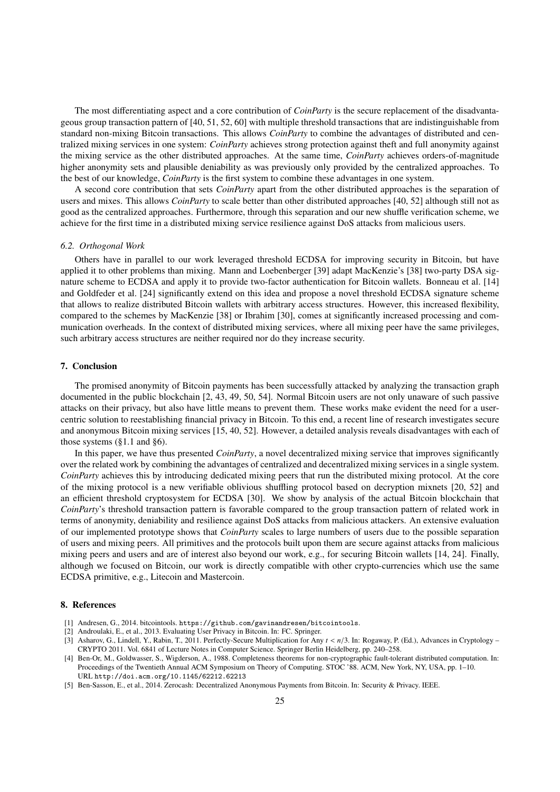The most differentiating aspect and a core contribution of *CoinParty* is the secure replacement of the disadvantageous group transaction pattern of [40, 51, 52, 60] with multiple threshold transactions that are indistinguishable from standard non-mixing Bitcoin transactions. This allows *CoinParty* to combine the advantages of distributed and centralized mixing services in one system: *CoinParty* achieves strong protection against theft and full anonymity against the mixing service as the other distributed approaches. At the same time, *CoinParty* achieves orders-of-magnitude higher anonymity sets and plausible deniability as was previously only provided by the centralized approaches. To the best of our knowledge, *CoinParty* is the first system to combine these advantages in one system.

A second core contribution that sets *CoinParty* apart from the other distributed approaches is the separation of users and mixes. This allows *CoinParty* to scale better than other distributed approaches [40, 52] although still not as good as the centralized approaches. Furthermore, through this separation and our new shuffle verification scheme, we achieve for the first time in a distributed mixing service resilience against DoS attacks from malicious users.

#### *6.2. Orthogonal Work*

Others have in parallel to our work leveraged threshold ECDSA for improving security in Bitcoin, but have applied it to other problems than mixing. Mann and Loebenberger [39] adapt MacKenzie's [38] two-party DSA signature scheme to ECDSA and apply it to provide two-factor authentication for Bitcoin wallets. Bonneau et al. [14] and Goldfeder et al. [24] significantly extend on this idea and propose a novel threshold ECDSA signature scheme that allows to realize distributed Bitcoin wallets with arbitrary access structures. However, this increased flexibility, compared to the schemes by MacKenzie [38] or Ibrahim [30], comes at significantly increased processing and communication overheads. In the context of distributed mixing services, where all mixing peer have the same privileges, such arbitrary access structures are neither required nor do they increase security.

# 7. Conclusion

The promised anonymity of Bitcoin payments has been successfully attacked by analyzing the transaction graph documented in the public blockchain [2, 43, 49, 50, 54]. Normal Bitcoin users are not only unaware of such passive attacks on their privacy, but also have little means to prevent them. These works make evident the need for a usercentric solution to reestablishing financial privacy in Bitcoin. To this end, a recent line of research investigates secure and anonymous Bitcoin mixing services [15, 40, 52]. However, a detailed analysis reveals disadvantages with each of those systems  $(\S1.1$  and  $\S6)$ .

In this paper, we have thus presented *CoinParty*, a novel decentralized mixing service that improves significantly over the related work by combining the advantages of centralized and decentralized mixing services in a single system. *CoinParty* achieves this by introducing dedicated mixing peers that run the distributed mixing protocol. At the core of the mixing protocol is a new verifiable oblivious shuffling protocol based on decryption mixnets [20, 52] and an efficient threshold cryptosystem for ECDSA [30]. We show by analysis of the actual Bitcoin blockchain that *CoinParty*'s threshold transaction pattern is favorable compared to the group transaction pattern of related work in terms of anonymity, deniability and resilience against DoS attacks from malicious attackers. An extensive evaluation of our implemented prototype shows that *CoinParty* scales to large numbers of users due to the possible separation of users and mixing peers. All primitives and the protocols built upon them are secure against attacks from malicious mixing peers and users and are of interest also beyond our work, e.g., for securing Bitcoin wallets [14, 24]. Finally, although we focused on Bitcoin, our work is directly compatible with other crypto-currencies which use the same ECDSA primitive, e.g., Litecoin and Mastercoin.

## 8. References

- [1] Andresen, G., 2014. bitcointools. https://github.com/gavinandresen/bitcointools.
- [2] Androulaki, E., et al., 2013. Evaluating User Privacy in Bitcoin. In: FC. Springer.
- [3] Asharov, G., Lindell, Y., Rabin, T., 2011. Perfectly-Secure Multiplication for Any *<sup>t</sup>* < *<sup>n</sup>*/3. In: Rogaway, P. (Ed.), Advances in Cryptology CRYPTO 2011. Vol. 6841 of Lecture Notes in Computer Science. Springer Berlin Heidelberg, pp. 240–258.
- [4] Ben-Or, M., Goldwasser, S., Wigderson, A., 1988. Completeness theorems for non-cryptographic fault-tolerant distributed computation. In: Proceedings of the Twentieth Annual ACM Symposium on Theory of Computing. STOC '88. ACM, New York, NY, USA, pp. 1–10. URL http://doi.acm.org/10.1145/62212.62213
- [5] Ben-Sasson, E., et al., 2014. Zerocash: Decentralized Anonymous Payments from Bitcoin. In: Security & Privacy. IEEE.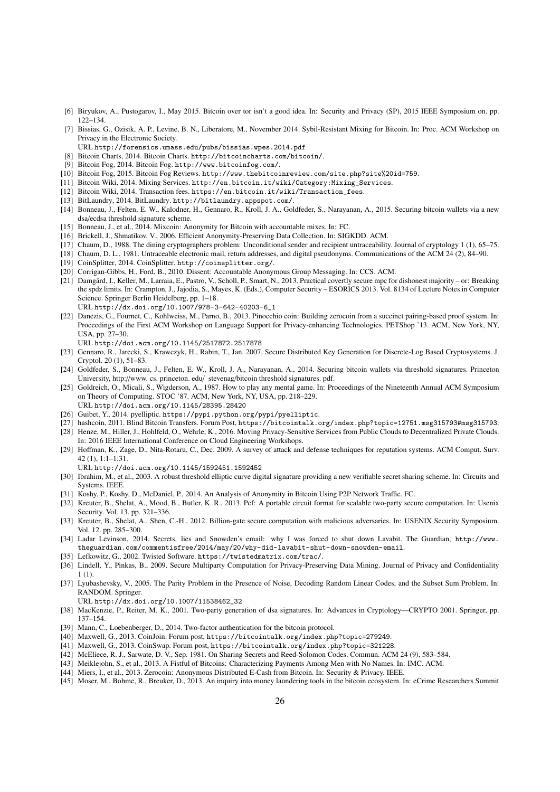- [6] Biryukov, A., Pustogarov, I., May 2015. Bitcoin over tor isn't a good idea. In: Security and Privacy (SP), 2015 IEEE Symposium on. pp. 122–134.
- [7] Bissias, G., Ozisik, A. P., Levine, B. N., Liberatore, M., November 2014. Sybil-Resistant Mixing for Bitcoin. In: Proc. ACM Workshop on Privacy in the Electronic Society.
	- URL http://forensics.umass.edu/pubs/bissias.wpes.2014.pdf
- [8] Bitcoin Charts, 2014. Bitcoin Charts. http://bitcoincharts.com/bitcoin/.
- [9] Bitcoin Fog, 2014. Bitcoin Fog. http://www.bitcoinfog.com/.
- [10] Bitcoin Fog, 2015. Bitcoin Fog Reviews. http://www.thebitcoinreview.com/site.php?site%20id=759.
- [11] Bitcoin Wiki, 2014. Mixing Services. http://en.bitcoin.it/wiki/Category:Mixing\_Services.
- [12] Bitcoin Wiki, 2014. Transaction fees. https://en.bitcoin.it/wiki/Transaction\_fees.
- [13] BitLaundry, 2014. BitLaundry. http://bitlaundry.appspot.com/.
- [14] Bonneau, J., Felten, E. W., Kalodner, H., Gennaro, R., Kroll, J. A., Goldfeder, S., Narayanan, A., 2015. Securing bitcoin wallets via a new dsa/ecdsa threshold signature scheme.
- [15] Bonneau, J., et al., 2014. Mixcoin: Anonymity for Bitcoin with accountable mixes. In: FC.
- [16] Brickell, J., Shmatikov, V., 2006. Efficient Anonymity-Preserving Data Collection. In: SIGKDD. ACM.
- [17] Chaum, D., 1988. The dining cryptographers problem: Unconditional sender and recipient untraceability. Journal of cryptology 1 (1), 65–75.
- [18] Chaum, D. L., 1981. Untraceable electronic mail, return addresses, and digital pseudonyms. Communications of the ACM 24 (2), 84–90.
- [19] CoinSplitter, 2014. CoinSplitter. http://coinsplitter.org/.
- [20] Corrigan-Gibbs, H., Ford, B., 2010. Dissent: Accountable Anonymous Group Messaging. In: CCS. ACM.
- [21] Damgård, I., Keller, M., Larraia, E., Pastro, V., Scholl, P., Smart, N., 2013. Practical covertly secure mpc for dishonest majority or: Breaking the spdz limits. In: Crampton, J., Jajodia, S., Mayes, K. (Eds.), Computer Security – ESORICS 2013. Vol. 8134 of Lecture Notes in Computer Science. Springer Berlin Heidelberg, pp. 1–18.
	- URL http://dx.doi.org/10.1007/978-3-642-40203-6\_1
- [22] Danezis, G., Fournet, C., Kohlweiss, M., Parno, B., 2013. Pinocchio coin: Building zerocoin from a succinct pairing-based proof system. In: Proceedings of the First ACM Workshop on Language Support for Privacy-enhancing Technologies. PETShop '13. ACM, New York, NY, USA, pp. 27–30.
	- URL http://doi.acm.org/10.1145/2517872.2517878
- [23] Gennaro, R., Jarecki, S., Krawczyk, H., Rabin, T., Jan. 2007. Secure Distributed Key Generation for Discrete-Log Based Cryptosystems. J. Cryptol. 20 (1), 51–83.
- [24] Goldfeder, S., Bonneau, J., Felten, E. W., Kroll, J. A., Narayanan, A., 2014. Securing bitcoin wallets via threshold signatures. Princeton University, http://www. cs. princeton. edu/ stevenag/bitcoin threshold signatures. pdf.
- [25] Goldreich, O., Micali, S., Wigderson, A., 1987. How to play any mental game. In: Proceedings of the Nineteenth Annual ACM Symposium on Theory of Computing. STOC '87. ACM, New York, NY, USA, pp. 218–229.
- URL http://doi.acm.org/10.1145/28395.28420 [26] Guibet, Y., 2014. pyelliptic. https://pypi.python.org/pypi/pyelliptic.
- [27] hashcoin, 2011. Blind Bitcoin Transfers. Forum Post, https://bitcointalk.org/index.php?topic=12751.msg315793#msg315793.
- [28] Henze, M., Hiller, J., Hohlfeld, O., Wehrle, K., 2016. Moving Privacy-Sensitive Services from Public Clouds to Decentralized Private Clouds. In: 2016 IEEE International Conference on Cloud Engineering Workshops.
- [29] Hoffman, K., Zage, D., Nita-Rotaru, C., Dec. 2009. A survey of attack and defense techniques for reputation systems. ACM Comput. Surv. 42 (1), 1:1–1:31.
	- URL http://doi.acm.org/10.1145/1592451.1592452
- [30] Ibrahim, M., et al., 2003. A robust threshold elliptic curve digital signature providing a new verifiable secret sharing scheme. In: Circuits and Systems. IEEE.
- [31] Koshy, P., Koshy, D., McDaniel, P., 2014. An Analysis of Anonymity in Bitcoin Using P2P Network Traffic. FC.
- [32] Kreuter, B., Shelat, A., Mood, B., Butler, K. R., 2013. Pcf: A portable circuit format for scalable two-party secure computation. In: Usenix Security. Vol. 13. pp. 321–336.
- [33] Kreuter, B., Shelat, A., Shen, C.-H., 2012. Billion-gate secure computation with malicious adversaries. In: USENIX Security Symposium. Vol. 12. pp. 285–300.
- [34] Ladar Levinson, 2014. Secrets, lies and Snowden's email: why I was forced to shut down Lavabit. The Guardian, http://www. theguardian.com/commentisfree/2014/may/20/why-did-lavabit-shut-down-snowden-email.
- [35] Lefkowitz, G., 2002. Twisted Software. https://twistedmatrix.com/trac/.
- [36] Lindell, Y., Pinkas, B., 2009. Secure Multiparty Computation for Privacy-Preserving Data Mining. Journal of Privacy and Confidentiality 1 (1).
- [37] Lyubashevsky, V., 2005. The Parity Problem in the Presence of Noise, Decoding Random Linear Codes, and the Subset Sum Problem. In: RANDOM. Springer.
	- URL http://dx.doi.org/10.1007/11538462\_32
- [38] MacKenzie, P., Reiter, M. K., 2001. Two-party generation of dsa signatures. In: Advances in Cryptology—CRYPTO 2001. Springer, pp. 137–154.
- [39] Mann, C., Loebenberger, D., 2014. Two-factor authentication for the bitcoin protocol.
- [40] Maxwell, G., 2013. CoinJoin. Forum post, https://bitcointalk.org/index.php?topic=279249.
- [41] Maxwell, G., 2013. CoinSwap. Forum post, https://bitcointalk.org/index.php?topic=321228.
- [42] McEliece, R. J., Sarwate, D. V., Sep. 1981. On Sharing Secrets and Reed-Solomon Codes. Commun. ACM 24 (9), 583–584.
- [43] Meiklejohn, S., et al., 2013. A Fistful of Bitcoins: Characterizing Payments Among Men with No Names. In: IMC. ACM.
- [44] Miers, I., et al., 2013. Zerocoin: Anonymous Distributed E-Cash from Bitcoin. In: Security & Privacy. IEEE.
- [45] Moser, M., Bohme, R., Breuker, D., 2013. An inquiry into money laundering tools in the bitcoin ecosystem. In: eCrime Researchers Summit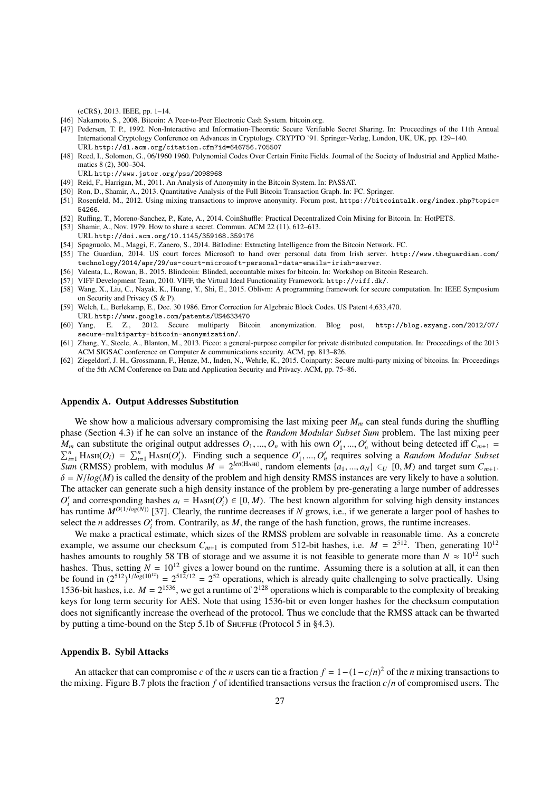(eCRS), 2013. IEEE, pp. 1–14.

- [46] Nakamoto, S., 2008. Bitcoin: A Peer-to-Peer Electronic Cash System. bitcoin.org.
- [47] Pedersen, T. P., 1992. Non-Interactive and Information-Theoretic Secure Verifiable Secret Sharing. In: Proceedings of the 11th Annual International Cryptology Conference on Advances in Cryptology. CRYPTO '91. Springer-Verlag, London, UK, UK, pp. 129–140. URL http://dl.acm.org/citation.cfm?id=646756.705507
- [48] Reed, I., Solomon, G., 06/1960 1960. Polynomial Codes Over Certain Finite Fields. Journal of the Society of Industrial and Applied Mathematics 8 (2), 300–304.
- URL http://www.jstor.org/pss/2098968
- [49] Reid, F., Harrigan, M., 2011. An Analysis of Anonymity in the Bitcoin System. In: PASSAT.
- [50] Ron, D., Shamir, A., 2013. Quantitative Analysis of the Full Bitcoin Transaction Graph. In: FC. Springer.
- [51] Rosenfeld, M., 2012. Using mixing transactions to improve anonymity. Forum post, https://bitcointalk.org/index.php?topic= 54266.
- [52] Ruffing, T., Moreno-Sanchez, P., Kate, A., 2014. CoinShuffle: Practical Decentralized Coin Mixing for Bitcoin. In: HotPETS.
- [53] Shamir, A., Nov. 1979. How to share a secret. Commun. ACM 22 (11), 612–613. URL http://doi.acm.org/10.1145/359168.359176
- [54] Spagnuolo, M., Maggi, F., Zanero, S., 2014. BitIodine: Extracting Intelligence from the Bitcoin Network. FC.
- [55] The Guardian, 2014. US court forces Microsoft to hand over personal data from Irish server. http://www.theguardian.com/ technology/2014/apr/29/us-court-microsoft-personal-data-emails-irish-server.
- [56] Valenta, L., Rowan, B., 2015. Blindcoin: Blinded, accountable mixes for bitcoin. In: Workshop on Bitcoin Research.
- [57] VIFF Development Team, 2010. VIFF, the Virtual Ideal Functionality Framework. http://viff.dk/.
- [58] Wang, X., Liu, C., Nayak, K., Huang, Y., Shi, E., 2015. Oblivm: A programming framework for secure computation. In: IEEE Symposium on Security and Privacy (S & P).
- [59] Welch, L., Berlekamp, E., Dec. 30 1986. Error Correction for Algebraic Block Codes. US Patent 4,633,470.
- URL http://www.google.com/patents/US4633470<br>
[60] Yang, E. Z., 2012. Secure multiparty Bitcoin anonymization. Blog post, http://blog.ezyang.com/2012/07/ secure-multiparty-bitcoin-anonymization/.
- [61] Zhang, Y., Steele, A., Blanton, M., 2013. Picco: a general-purpose compiler for private distributed computation. In: Proceedings of the 2013 ACM SIGSAC conference on Computer & communications security. ACM, pp. 813–826.
- [62] Ziegeldorf, J. H., Grossmann, F., Henze, M., Inden, N., Wehrle, K., 2015. Coinparty: Secure multi-party mixing of bitcoins. In: Proceedings of the 5th ACM Conference on Data and Application Security and Privacy. ACM, pp. 75–86.

#### Appendix A. Output Addresses Substitution

We show how a malicious adversary compromising the last mixing peer  $M_m$  can steal funds during the shuffling phase (Section 4.3) if he can solve an instance of the *Random Modular Subset Sum* problem. The last mixing peer  $M_m$  can substitute the original output addresses  $O_1, ..., O_n$  with his own  $O'_1, ..., O'_n$ <br>  $\nabla^n$  HASH(*O*) =  $\nabla^n$  HASH(*O*<sup>(</sup>)). Finding such a sequence  $O'$  of requires of  $M_m$  can substitute the original output addresses  $O_1, ..., O_n$  with his own  $O'_1, ..., O'_n$  without being detected iff  $C_{m+1} = \sum_{i=1}^n \text{HasH}(O_i) = \sum_{i=1}^n \text{HasH}(O_i')$ . Finding such a sequence  $O'_1, ..., O'_n$  requires solving a *Random*  $S$ um (RMSS) problem, with modulus  $M = 2^{len(HASH)}$ , random elements  $\{a_1, ..., a_N\} \in U$  [0, *M*) and target sum  $C_{m+1}$ .<br> $\delta = N/log(M)$  is called the density of the problem and high density RMSS instances are very likely to have a  $\delta = N/log(M)$  is called the density of the problem and high density RMSS instances are very likely to have a solution. The attacker can generate such a high density instance of the problem by pre-generating a large number of addresses *O*<sup>*i*</sup><sub>*i*</sub> and corresponding hashes  $a_i$  = HASH(*O*<sup>*i*</sup><sub>*i*</sub>) ∈ [0, *M*). The best known algorithm for solving high density instances has runtime  $M^{O(1/\log(N))}$  [37]. Clearly the runtime decreases if *N* grows i.e. if w has runtime *M<sup>O</sup>*(1/*log*(*N*)) [37]. Clearly, the runtime decreases if *N* grows, i.e., if we generate a larger pool of hashes to select the *n* addresses  $O_i'$  from. Contrarily, as *M*, the range of the hash function, grows, the runtime increases.

We make a practical estimate, which sizes of the RMSS problem are solvable in reasonable time. As a concrete example, we assume our checksum  $C_{m+1}$  is computed from 512-bit hashes, i.e.  $M = 2^{512}$ . Then, generating  $10^{12}$ hashes amounts to roughly 58 TB of storage and we assume it is not feasible to generate more than  $N \approx 10^{12}$  such hashes. Thus, setting  $N = 10^{12}$  gives a lower bound on the runtime. Assuming there is a solution at all, it can then be found in  $(2^{512})^{1/\log(10^{12})} = 2^{512/12} = 2^{52}$  operations, which is already quite challenging to solve practically. Using 1536-bit hashes, i.e.  $M = 2^{1536}$ , we get a runtime of  $2^{128}$  operations which is comparable to the complexity of breaking keys for long term security for AES. Note that using 1536-bit or even longer hashes for the checksum computation does not significantly increase the overhead of the protocol. Thus we conclude that the RMSS attack can be thwarted by putting a time-bound on the Step 5.1b of SHUFFLE (Protocol 5 in  $\S 4.3$ ).

# Appendix B. Sybil Attacks

An attacker that can compromise *c* of the *n* users can tie a fraction  $f = 1 - (1 - c/n)^2$  of the *n* mixing transactions to mixing Figure B 7 plots the fraction *f* of identified transactions versus the fraction *c/n* of com the mixing. Figure B.7 plots the fraction *<sup>f</sup>* of identified transactions versus the fraction *<sup>c</sup>*/*<sup>n</sup>* of compromised users. The